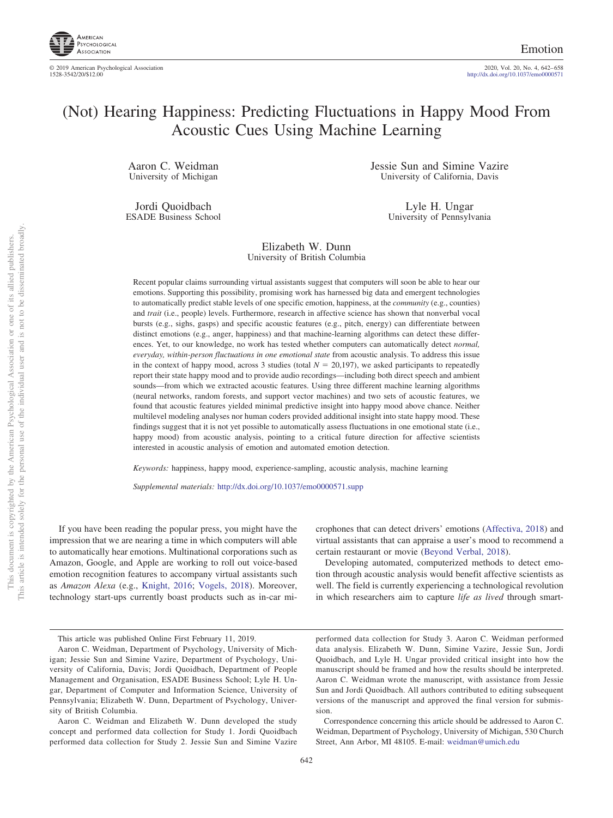

© 2019 American Psychological Association<br>1528-3542/20/\$12.00

Emotion

2020, Vol. 20, No. 4, 642–658<br>http://dx.doi.org[/10.1037/emo0000571](http://dx.doi.org/10.1037/emo0000571)

# (Not) Hearing Happiness: Predicting Fluctuations in Happy Mood From Acoustic Cues Using Machine Learning

Aaron C. Weidman University of Michigan

Jordi Quoidbach ESADE Business School Jessie Sun and Simine Vazire University of California, Davis

> Lyle H. Ungar University of Pennsylvania

Elizabeth W. Dunn University of British Columbia

Recent popular claims surrounding virtual assistants suggest that computers will soon be able to hear our emotions. Supporting this possibility, promising work has harnessed big data and emergent technologies to automatically predict stable levels of one specific emotion, happiness, at the *community* (e.g., counties) and *trait* (i.e., people) levels. Furthermore, research in affective science has shown that nonverbal vocal bursts (e.g., sighs, gasps) and specific acoustic features (e.g., pitch, energy) can differentiate between distinct emotions (e.g., anger, happiness) and that machine-learning algorithms can detect these differences. Yet, to our knowledge, no work has tested whether computers can automatically detect *normal, everyday, within-person fluctuations in one emotional state* from acoustic analysis. To address this issue in the context of happy mood, across 3 studies (total  $N = 20,197$ ), we asked participants to repeatedly report their state happy mood and to provide audio recordings—including both direct speech and ambient sounds—from which we extracted acoustic features. Using three different machine learning algorithms (neural networks, random forests, and support vector machines) and two sets of acoustic features, we found that acoustic features yielded minimal predictive insight into happy mood above chance. Neither multilevel modeling analyses nor human coders provided additional insight into state happy mood. These findings suggest that it is not yet possible to automatically assess fluctuations in one emotional state (i.e., happy mood) from acoustic analysis, pointing to a critical future direction for affective scientists interested in acoustic analysis of emotion and automated emotion detection.

*Keywords:* happiness, happy mood, experience-sampling, acoustic analysis, machine learning

*Supplemental materials:* http://dx.doi.org/10.1037/emo0000571.supp

If you have been reading the popular press, you might have the impression that we are nearing a time in which computers will able to automatically hear emotions. Multinational corporations such as Amazon, Google, and Apple are working to roll out voice-based emotion recognition features to accompany virtual assistants such as *Amazon Alexa* (e.g., [Knight, 2016;](#page-15-0) [Vogels, 2018\)](#page-16-0). Moreover, technology start-ups currently boast products such as in-car mi-

This article was published Online First February 11, 2019.

crophones that can detect drivers' emotions [\(Affectiva, 2018\)](#page-14-0) and virtual assistants that can appraise a user's mood to recommend a certain restaurant or movie [\(Beyond Verbal, 2018\)](#page-14-1).

Developing automated, computerized methods to detect emotion through acoustic analysis would benefit affective scientists as well. The field is currently experiencing a technological revolution in which researchers aim to capture *life as lived* through smart-

performed data collection for Study 3. Aaron C. Weidman performed data analysis. Elizabeth W. Dunn, Simine Vazire, Jessie Sun, Jordi Quoidbach, and Lyle H. Ungar provided critical insight into how the manuscript should be framed and how the results should be interpreted. Aaron C. Weidman wrote the manuscript, with assistance from Jessie Sun and Jordi Quoidbach. All authors contributed to editing subsequent versions of the manuscript and approved the final version for submission.

Correspondence concerning this article should be addressed to Aaron C. Weidman, Department of Psychology, University of Michigan, 530 Church Street, Ann Arbor, MI 48105. E-mail: [weidman@umich.edu](mailto:weidman@umich.edu)

Aaron C. Weidman, Department of Psychology, University of Michigan; Jessie Sun and Simine Vazire, Department of Psychology, University of California, Davis; Jordi Quoidbach, Department of People Management and Organisation, ESADE Business School; Lyle H. Ungar, Department of Computer and Information Science, University of Pennsylvania; Elizabeth W. Dunn, Department of Psychology, University of British Columbia.

Aaron C. Weidman and Elizabeth W. Dunn developed the study concept and performed data collection for Study 1. Jordi Quoidbach performed data collection for Study 2. Jessie Sun and Simine Vazire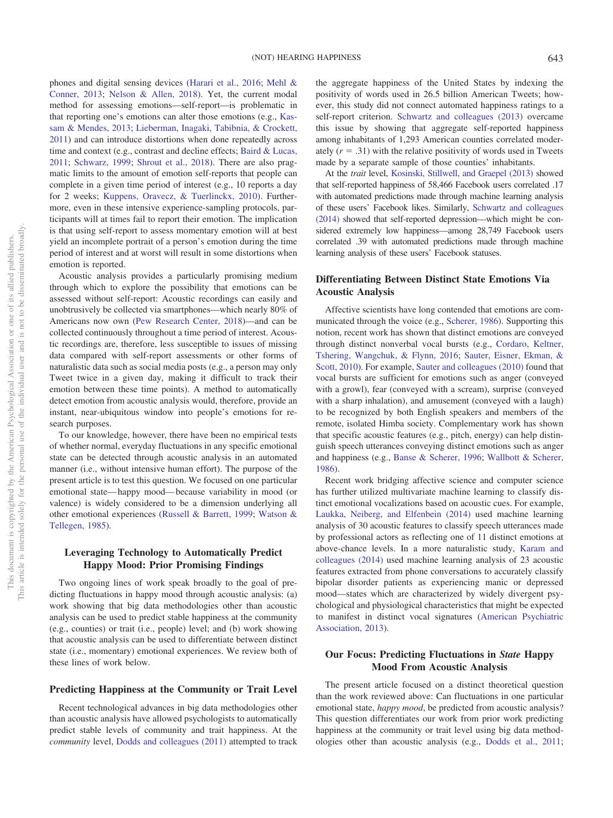phones and digital sensing devices [\(Harari et al., 2016;](#page-14-2) [Mehl &](#page-15-1) [Conner, 2013;](#page-15-1) [Nelson & Allen, 2018\)](#page-15-2). Yet, the current modal method for assessing emotions—self-report—is problematic in that reporting one's emotions can alter those emotions (e.g., [Kas](#page-15-3)[sam & Mendes, 2013;](#page-15-3) [Lieberman, Inagaki, Tabibnia, & Crockett,](#page-15-4) [2011\)](#page-15-4) and can introduce distortions when done repeatedly across time and context (e.g., contrast and decline effects; [Baird & Lucas,](#page-14-3) [2011;](#page-14-3) [Schwarz, 1999;](#page-15-5) [Shrout et al., 2018\)](#page-15-6). There are also pragmatic limits to the amount of emotion self-reports that people can complete in a given time period of interest (e.g., 10 reports a day for 2 weeks; [Kuppens, Oravecz, & Tuerlinckx, 2010\)](#page-15-7). Furthermore, even in these intensive experience-sampling protocols, participants will at times fail to report their emotion. The implication is that using self-report to assess momentary emotion will at best yield an incomplete portrait of a person's emotion during the time period of interest and at worst will result in some distortions when emotion is reported.

Acoustic analysis provides a particularly promising medium through which to explore the possibility that emotions can be assessed without self-report: Acoustic recordings can easily and unobtrusively be collected via smartphones—which nearly 80% of Americans now own [\(Pew Research Center, 2018\)](#page-15-8)—and can be collected continuously throughout a time period of interest. Acoustic recordings are, therefore, less susceptible to issues of missing data compared with self-report assessments or other forms of naturalistic data such as social media posts (e.g., a person may only Tweet twice in a given day, making it difficult to track their emotion between these time points). A method to automatically detect emotion from acoustic analysis would, therefore, provide an instant, near-ubiquitous window into people's emotions for research purposes.

To our knowledge, however, there have been no empirical tests of whether normal, everyday fluctuations in any specific emotional state can be detected through acoustic analysis in an automated manner (i.e., without intensive human effort). The purpose of the present article is to test this question. We focused on one particular emotional state— happy mood— because variability in mood (or valence) is widely considered to be a dimension underlying all other emotional experiences [\(Russell & Barrett, 1999;](#page-15-9) [Watson &](#page-16-1) [Tellegen, 1985\)](#page-16-1).

# **Leveraging Technology to Automatically Predict Happy Mood: Prior Promising Findings**

Two ongoing lines of work speak broadly to the goal of predicting fluctuations in happy mood through acoustic analysis: (a) work showing that big data methodologies other than acoustic analysis can be used to predict stable happiness at the community (e.g., counties) or trait (i.e., people) level; and (b) work showing that acoustic analysis can be used to differentiate between distinct state (i.e., momentary) emotional experiences. We review both of these lines of work below.

## **Predicting Happiness at the Community or Trait Level**

Recent technological advances in big data methodologies other than acoustic analysis have allowed psychologists to automatically predict stable levels of community and trait happiness. At the *community* level, [Dodds and colleagues \(2011\)](#page-14-4) attempted to track the aggregate happiness of the United States by indexing the positivity of words used in 26.5 billion American Tweets; however, this study did not connect automated happiness ratings to a self-report criterion. [Schwartz and colleagues \(2013\)](#page-15-10) overcame this issue by showing that aggregate self-reported happiness among inhabitants of 1,293 American counties correlated moderately  $(r = .31)$  with the relative positivity of words used in Tweets made by a separate sample of those counties' inhabitants.

At the *trait* level, [Kosinski, Stillwell, and Graepel \(2013\)](#page-15-11) showed that self-reported happiness of 58,466 Facebook users correlated .17 with automated predictions made through machine learning analysis of these users' Facebook likes. Similarly, [Schwartz and colleagues](#page-15-12) [\(2014\)](#page-15-12) showed that self-reported depression—which might be considered extremely low happiness—among 28,749 Facebook users correlated .39 with automated predictions made through machine learning analysis of these users' Facebook statuses.

# **Differentiating Between Distinct State Emotions Via Acoustic Analysis**

Affective scientists have long contended that emotions are communicated through the voice (e.g., [Scherer, 1986\)](#page-15-13). Supporting this notion, recent work has shown that distinct emotions are conveyed through distinct nonverbal vocal bursts (e.g., [Cordaro, Keltner,](#page-14-5) [Tshering, Wangchuk, & Flynn, 2016;](#page-14-5) [Sauter, Eisner, Ekman, &](#page-15-14) [Scott, 2010\)](#page-15-14). For example, [Sauter and colleagues \(2010\)](#page-15-14) found that vocal bursts are sufficient for emotions such as anger (conveyed with a growl), fear (conveyed with a scream), surprise (conveyed with a sharp inhalation), and amusement (conveyed with a laugh) to be recognized by both English speakers and members of the remote, isolated Himba society. Complementary work has shown that specific acoustic features (e.g., pitch, energy) can help distinguish speech utterances conveying distinct emotions such as anger and happiness (e.g., [Banse & Scherer, 1996;](#page-14-6) [Wallbott & Scherer,](#page-16-2) [1986\)](#page-16-2).

Recent work bridging affective science and computer science has further utilized multivariate machine learning to classify distinct emotional vocalizations based on acoustic cues. For example, [Laukka, Neiberg, and Elfenbein \(2014\)](#page-15-15) used machine learning analysis of 30 acoustic features to classify speech utterances made by professional actors as reflecting one of 11 distinct emotions at above-chance levels. In a more naturalistic study, [Karam and](#page-15-16) [colleagues \(2014\)](#page-15-16) used machine learning analysis of 23 acoustic features extracted from phone conversations to accurately classify bipolar disorder patients as experiencing manic or depressed mood—states which are characterized by widely divergent psychological and physiological characteristics that might be expected to manifest in distinct vocal signatures [\(American Psychiatric](#page-14-7) [Association, 2013\)](#page-14-7).

# **Our Focus: Predicting Fluctuations in** *State* **Happy Mood From Acoustic Analysis**

The present article focused on a distinct theoretical question than the work reviewed above: Can fluctuations in one particular emotional state, *happy mood*, be predicted from acoustic analysis? This question differentiates our work from prior work predicting happiness at the community or trait level using big data methodologies other than acoustic analysis (e.g., [Dodds et al., 2011;](#page-14-4)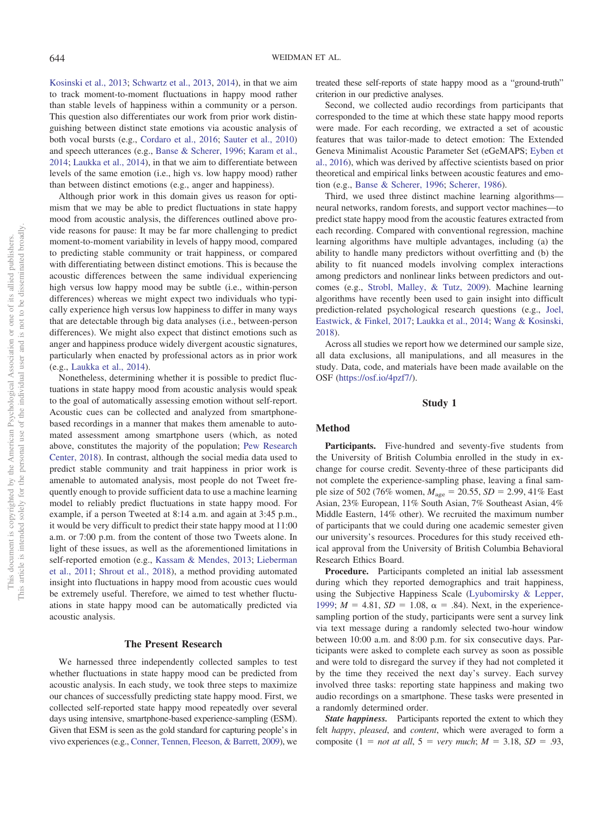[Kosinski et al., 2013;](#page-15-11) [Schwartz et al., 2013,](#page-15-10) [2014\)](#page-15-12), in that we aim to track moment-to-moment fluctuations in happy mood rather than stable levels of happiness within a community or a person. This question also differentiates our work from prior work distinguishing between distinct state emotions via acoustic analysis of both vocal bursts (e.g., [Cordaro et al., 2016;](#page-14-5) [Sauter et al., 2010\)](#page-15-14) and speech utterances (e.g., [Banse & Scherer, 1996;](#page-14-6) [Karam et al.,](#page-15-16) [2014;](#page-15-16) [Laukka et al., 2014\)](#page-15-15), in that we aim to differentiate between levels of the same emotion (i.e., high vs. low happy mood) rather than between distinct emotions (e.g., anger and happiness).

Although prior work in this domain gives us reason for optimism that we may be able to predict fluctuations in state happy mood from acoustic analysis, the differences outlined above provide reasons for pause: It may be far more challenging to predict moment-to-moment variability in levels of happy mood, compared to predicting stable community or trait happiness, or compared with differentiating between distinct emotions. This is because the acoustic differences between the same individual experiencing high versus low happy mood may be subtle (i.e., within-person differences) whereas we might expect two individuals who typically experience high versus low happiness to differ in many ways that are detectable through big data analyses (i.e., between-person differences). We might also expect that distinct emotions such as anger and happiness produce widely divergent acoustic signatures, particularly when enacted by professional actors as in prior work (e.g., [Laukka et al., 2014\)](#page-15-15).

Nonetheless, determining whether it is possible to predict fluctuations in state happy mood from acoustic analysis would speak to the goal of automatically assessing emotion without self-report. Acoustic cues can be collected and analyzed from smartphonebased recordings in a manner that makes them amenable to automated assessment among smartphone users (which, as noted above, constitutes the majority of the population; [Pew Research](#page-15-8) [Center, 2018\)](#page-15-8). In contrast, although the social media data used to predict stable community and trait happiness in prior work is amenable to automated analysis, most people do not Tweet frequently enough to provide sufficient data to use a machine learning model to reliably predict fluctuations in state happy mood. For example, if a person Tweeted at 8:14 a.m. and again at 3:45 p.m., it would be very difficult to predict their state happy mood at 11:00 a.m. or 7:00 p.m. from the content of those two Tweets alone. In light of these issues, as well as the aforementioned limitations in self-reported emotion (e.g., [Kassam & Mendes, 2013;](#page-15-3) [Lieberman](#page-15-4) [et al., 2011;](#page-15-4) [Shrout et al., 2018\)](#page-15-6), a method providing automated insight into fluctuations in happy mood from acoustic cues would be extremely useful. Therefore, we aimed to test whether fluctuations in state happy mood can be automatically predicted via acoustic analysis.

#### **The Present Research**

We harnessed three independently collected samples to test whether fluctuations in state happy mood can be predicted from acoustic analysis. In each study, we took three steps to maximize our chances of successfully predicting state happy mood. First, we collected self-reported state happy mood repeatedly over several days using intensive, smartphone-based experience-sampling (ESM). Given that ESM is seen as the gold standard for capturing people's in vivo experiences (e.g., [Conner, Tennen, Fleeson, & Barrett, 2009\)](#page-14-8), we treated these self-reports of state happy mood as a "ground-truth" criterion in our predictive analyses.

Second, we collected audio recordings from participants that corresponded to the time at which these state happy mood reports were made. For each recording, we extracted a set of acoustic features that was tailor-made to detect emotion: The Extended Geneva Minimalist Acoustic Parameter Set (eGeMAPS; [Eyben et](#page-14-9) [al., 2016\)](#page-14-9), which was derived by affective scientists based on prior theoretical and empirical links between acoustic features and emotion (e.g., [Banse & Scherer, 1996;](#page-14-6) [Scherer, 1986\)](#page-15-13).

Third, we used three distinct machine learning algorithms neural networks, random forests, and support vector machines—to predict state happy mood from the acoustic features extracted from each recording. Compared with conventional regression, machine learning algorithms have multiple advantages, including (a) the ability to handle many predictors without overfitting and (b) the ability to fit nuanced models involving complex interactions among predictors and nonlinear links between predictors and outcomes (e.g., [Strobl, Malley, & Tutz, 2009\)](#page-15-17). Machine learning algorithms have recently been used to gain insight into difficult prediction-related psychological research questions (e.g., [Joel,](#page-14-10) [Eastwick, & Finkel, 2017;](#page-14-10) [Laukka et al., 2014;](#page-15-15) [Wang & Kosinski,](#page-16-3) [2018\)](#page-16-3).

Across all studies we report how we determined our sample size, all data exclusions, all manipulations, and all measures in the study. Data, code, and materials have been made available on the OSF [\(https://osf.io/4pzf7/\)](https://osf.io/4pzf7/).

## **Study 1**

#### **Method**

**Participants.** Five-hundred and seventy-five students from the University of British Columbia enrolled in the study in exchange for course credit. Seventy-three of these participants did not complete the experience-sampling phase, leaving a final sample size of 502 (76% women,  $M_{\text{age}} = 20.55$ ,  $SD = 2.99$ , 41% East Asian, 23% European, 11% South Asian, 7% Southeast Asian, 4% Middle Eastern, 14% other). We recruited the maximum number of participants that we could during one academic semester given our university's resources. Procedures for this study received ethical approval from the University of British Columbia Behavioral Research Ethics Board.

**Procedure.** Participants completed an initial lab assessment during which they reported demographics and trait happiness, using the Subjective Happiness Scale [\(Lyubomirsky & Lepper,](#page-15-18) [1999;](#page-15-18)  $M = 4.81$ ,  $SD = 1.08$ ,  $\alpha = .84$ ). Next, in the experiencesampling portion of the study, participants were sent a survey link via text message during a randomly selected two-hour window between 10:00 a.m. and 8:00 p.m. for six consecutive days. Participants were asked to complete each survey as soon as possible and were told to disregard the survey if they had not completed it by the time they received the next day's survey. Each survey involved three tasks: reporting state happiness and making two audio recordings on a smartphone. These tasks were presented in a randomly determined order.

*State happiness.* Participants reported the extent to which they felt *happy*, *pleased*, and *content*, which were averaged to form a composite  $(1 = not at all, 5 = very much; M = 3.18, SD = .93,$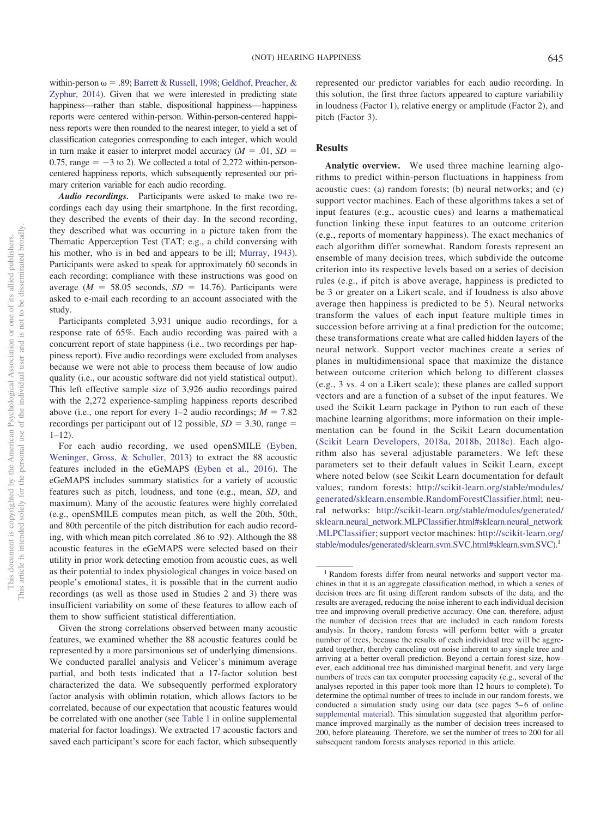within-person  $\omega = .89$ ; [Barrett & Russell, 1998;](#page-14-11) [Geldhof, Preacher, &](#page-14-12) [Zyphur, 2014\)](#page-14-12). Given that we were interested in predicting state happiness—rather than stable, dispositional happiness—happiness reports were centered within-person. Within-person-centered happiness reports were then rounded to the nearest integer, to yield a set of classification categories corresponding to each integer, which would in turn make it easier to interpret model accuracy  $(M = .01, SD =$ 0.75, range  $= -3$  to 2). We collected a total of 2,272 within-personcentered happiness reports, which subsequently represented our primary criterion variable for each audio recording.

*Audio recordings.* Participants were asked to make two recordings each day using their smartphone. In the first recording, they described the events of their day. In the second recording, they described what was occurring in a picture taken from the Thematic Apperception Test (TAT; e.g., a child conversing with his mother, who is in bed and appears to be ill; [Murray, 1943\)](#page-15-19). Participants were asked to speak for approximately 60 seconds in each recording; compliance with these instructions was good on average  $(M = 58.05$  seconds,  $SD = 14.76$ ). Participants were asked to e-mail each recording to an account associated with the study.

Participants completed 3,931 unique audio recordings, for a response rate of 65%. Each audio recording was paired with a concurrent report of state happiness (i.e., two recordings per happiness report). Five audio recordings were excluded from analyses because we were not able to process them because of low audio quality (i.e., our acoustic software did not yield statistical output). This left effective sample size of 3,926 audio recordings paired with the 2,272 experience-sampling happiness reports described above (i.e., one report for every  $1-2$  audio recordings;  $M = 7.82$ recordings per participant out of 12 possible,  $SD = 3.30$ , range  $=$  $1 - 12$ 

For each audio recording, we used openSMILE [\(Eyben,](#page-14-13) [Weninger, Gross, & Schuller, 2013\)](#page-14-13) to extract the 88 acoustic features included in the eGeMAPS [\(Eyben et al., 2016\)](#page-14-9). The eGeMAPS includes summary statistics for a variety of acoustic features such as pitch, loudness, and tone (e.g., mean, *SD*, and maximum). Many of the acoustic features were highly correlated (e.g., openSMILE computes mean pitch, as well the 20th, 50th, and 80th percentile of the pitch distribution for each audio recording, with which mean pitch correlated .86 to .92). Although the 88 acoustic features in the eGeMAPS were selected based on their utility in prior work detecting emotion from acoustic cues, as well as their potential to index physiological changes in voice based on people's emotional states, it is possible that in the current audio recordings (as well as those used in Studies 2 and 3) there was insufficient variability on some of these features to allow each of them to show sufficient statistical differentiation.

Given the strong correlations observed between many acoustic features, we examined whether the 88 acoustic features could be represented by a more parsimonious set of underlying dimensions. We conducted parallel analysis and Velicer's minimum average partial, and both tests indicated that a 17-factor solution best characterized the data. We subsequently performed exploratory factor analysis with oblimin rotation, which allows factors to be correlated, because of our expectation that acoustic features would be correlated with one another (see [Table 1](http://dx.doi.org/10.1037/emo0000571.supp) in online supplemental material for factor loadings). We extracted 17 acoustic factors and saved each participant's score for each factor, which subsequently

represented our predictor variables for each audio recording. In this solution, the first three factors appeared to capture variability in loudness (Factor 1), relative energy or amplitude (Factor 2), and pitch (Factor 3).

# **Results**

**Analytic overview.** We used three machine learning algorithms to predict within-person fluctuations in happiness from acoustic cues: (a) random forests; (b) neural networks; and (c) support vector machines. Each of these algorithms takes a set of input features (e.g., acoustic cues) and learns a mathematical function linking these input features to an outcome criterion (e.g., reports of momentary happiness). The exact mechanics of each algorithm differ somewhat. Random forests represent an ensemble of many decision trees, which subdivide the outcome criterion into its respective levels based on a series of decision rules (e.g., if pitch is above average, happiness is predicted to be 3 or greater on a Likert scale, and if loudness is also above average then happiness is predicted to be 5). Neural networks transform the values of each input feature multiple times in succession before arriving at a final prediction for the outcome; these transformations create what are called hidden layers of the neural network. Support vector machines create a series of planes in multidimensional space that maximize the distance between outcome criterion which belong to different classes (e.g., 3 vs. 4 on a Likert scale); these planes are called support vectors and are a function of a subset of the input features. We used the Scikit Learn package in Python to run each of these machine learning algorithms; more information on their implementation can be found in the Scikit Learn documentation [\(Scikit Learn Developers, 2018a,](#page-15-20) [2018b,](#page-15-21) [2018c\)](#page-15-22). Each algorithm also has several adjustable parameters. We left these parameters set to their default values in Scikit Learn, except where noted below (see Scikit Learn documentation for default values; random forests: [http://scikit-learn.org/stable/modules/](http://scikit-learn.org/stable/modules/generated/sklearn.ensemble.RandomForestClassifier.html) [generated/sklearn.ensemble.RandomForestClassifier.html;](http://scikit-learn.org/stable/modules/generated/sklearn.ensemble.RandomForestClassifier.html) neural networks: [http://scikit-learn.org/stable/modules/generated/](http://scikit-learn.org/stable/modules/generated/sklearn.neural_network.MLPClassifier.html#sklearn.neural_network.MLPClassifier) [sklearn.neural\\_network.MLPClassifier.html#sklearn.neural\\_network](http://scikit-learn.org/stable/modules/generated/sklearn.neural_network.MLPClassifier.html#sklearn.neural_network.MLPClassifier) [.MLPClassifier;](http://scikit-learn.org/stable/modules/generated/sklearn.neural_network.MLPClassifier.html#sklearn.neural_network.MLPClassifier) support vector machines: [http://scikit-learn.org/](http://scikit-learn.org/stable/modules/generated/sklearn.svm.SVC.html#sklearn.svm.SVC) [stable/modules/generated/sklearn.svm.SVC.html#sklearn.svm.SVC\)](http://scikit-learn.org/stable/modules/generated/sklearn.svm.SVC.html#sklearn.svm.SVC).1

<sup>&</sup>lt;sup>1</sup> Random forests differ from neural networks and support vector machines in that it is an aggregate classification method, in which a series of decision trees are fit using different random subsets of the data, and the results are averaged, reducing the noise inherent to each individual decision tree and improving overall predictive accuracy. One can, therefore, adjust the number of decision trees that are included in each random forests analysis. In theory, random forests will perform better with a greater number of trees, because the results of each individual tree will be aggregated together, thereby canceling out noise inherent to any single tree and arriving at a better overall prediction. Beyond a certain forest size, however, each additional tree has diminished marginal benefit, and very large numbers of trees can tax computer processing capacity (e.g., several of the analyses reported in this paper took more than 12 hours to complete). To determine the optimal number of trees to include in our random forests, we conducted a simulation study using our data (see pages 5–6 of [online](http://dx.doi.org/10.1037/emo0000571.supp) [supplemental material\)](http://dx.doi.org/10.1037/emo0000571.supp). This simulation suggested that algorithm performance improved marginally as the number of decision trees increased to 200, before plateauing. Therefore, we set the number of trees to 200 for all subsequent random forests analyses reported in this article.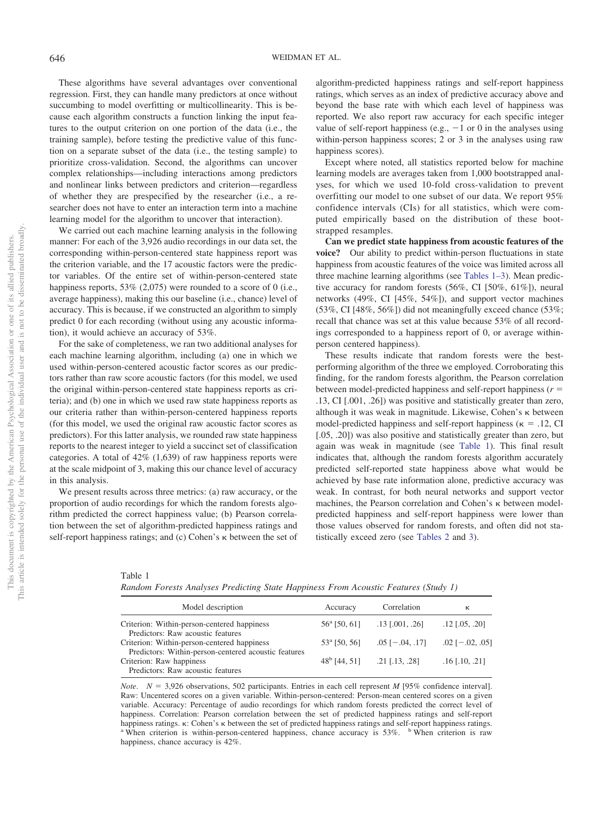These algorithms have several advantages over conventional regression. First, they can handle many predictors at once without succumbing to model overfitting or multicollinearity. This is because each algorithm constructs a function linking the input features to the output criterion on one portion of the data (i.e., the training sample), before testing the predictive value of this function on a separate subset of the data (i.e., the testing sample) to prioritize cross-validation. Second, the algorithms can uncover complex relationships—including interactions among predictors and nonlinear links between predictors and criterion—regardless of whether they are prespecified by the researcher (i.e., a researcher does not have to enter an interaction term into a machine learning model for the algorithm to uncover that interaction).

We carried out each machine learning analysis in the following manner: For each of the 3,926 audio recordings in our data set, the corresponding within-person-centered state happiness report was the criterion variable, and the 17 acoustic factors were the predictor variables. Of the entire set of within-person-centered state happiness reports, 53% (2,075) were rounded to a score of 0 (i.e., average happiness), making this our baseline (i.e., chance) level of accuracy. This is because, if we constructed an algorithm to simply predict 0 for each recording (without using any acoustic information), it would achieve an accuracy of 53%.

For the sake of completeness, we ran two additional analyses for each machine learning algorithm, including (a) one in which we used within-person-centered acoustic factor scores as our predictors rather than raw score acoustic factors (for this model, we used the original within-person-centered state happiness reports as criteria); and (b) one in which we used raw state happiness reports as our criteria rather than within-person-centered happiness reports (for this model, we used the original raw acoustic factor scores as predictors). For this latter analysis, we rounded raw state happiness reports to the nearest integer to yield a succinct set of classification categories. A total of  $42\%$  (1,639) of raw happiness reports were at the scale midpoint of 3, making this our chance level of accuracy in this analysis.

We present results across three metrics: (a) raw accuracy, or the proportion of audio recordings for which the random forests algorithm predicted the correct happiness value; (b) Pearson correlation between the set of algorithm-predicted happiness ratings and self-report happiness ratings; and  $(c)$  Cohen's  $\kappa$  between the set of algorithm-predicted happiness ratings and self-report happiness ratings, which serves as an index of predictive accuracy above and beyond the base rate with which each level of happiness was reported. We also report raw accuracy for each specific integer value of self-report happiness (e.g.,  $-1$  or 0 in the analyses using within-person happiness scores; 2 or 3 in the analyses using raw happiness scores).

Except where noted, all statistics reported below for machine learning models are averages taken from 1,000 bootstrapped analyses, for which we used 10-fold cross-validation to prevent overfitting our model to one subset of our data. We report 95% confidence intervals (CIs) for all statistics, which were computed empirically based on the distribution of these bootstrapped resamples.

**Can we predict state happiness from acoustic features of the voice?** Our ability to predict within-person fluctuations in state happiness from acoustic features of the voice was limited across all three machine learning algorithms (see [Tables 1–3\)](#page-4-0). Mean predictive accuracy for random forests (56%, CI [50%, 61%]), neural networks (49%, CI [45%, 54%]), and support vector machines (53%, CI [48%, 56%]) did not meaningfully exceed chance (53%; recall that chance was set at this value because 53% of all recordings corresponded to a happiness report of 0, or average withinperson centered happiness).

These results indicate that random forests were the bestperforming algorithm of the three we employed. Corroborating this finding, for the random forests algorithm, the Pearson correlation between model-predicted happiness and self-report happiness  $(r =$ .13, CI [.001, .26]) was positive and statistically greater than zero, although it was weak in magnitude. Likewise, Cohen's  $\kappa$  between model-predicted happiness and self-report happiness ( $\kappa = .12$ , CI [.05, .20]) was also positive and statistically greater than zero, but again was weak in magnitude (see [Table 1\)](#page-4-0). This final result indicates that, although the random forests algorithm accurately predicted self-reported state happiness above what would be achieved by base rate information alone, predictive accuracy was weak. In contrast, for both neural networks and support vector machines, the Pearson correlation and Cohen's  $\kappa$  between modelpredicted happiness and self-report happiness were lower than those values observed for random forests, and often did not statistically exceed zero (see [Tables 2](#page-5-0) and [3\)](#page-5-1).

<span id="page-4-0"></span>Table 1

*Random Forests Analyses Predicting State Happiness From Acoustic Features (Study 1)*

| Model description                                    | Accuracy              | Correlation             | к                       |
|------------------------------------------------------|-----------------------|-------------------------|-------------------------|
| Criterion: Within-person-centered happiness          | $56^{\circ}$ [50, 61] | $.13$ [.001, .26]       | $.12$ [ $.05, .20$ ]    |
| Predictors: Raw acoustic features                    |                       |                         |                         |
| Criterion: Within-person-centered happiness          | $53^{\circ}$ [50, 56] | $.05$ [ $-.04, .17$ ]   | $.02$ [ $-.02, .05$ ]   |
| Predictors: Within-person-centered acoustic features |                       |                         |                         |
| Criterion: Raw happiness                             | $48^b$ [44, 51]       | $.21$ [ $.13$ , $.28$ ] | $.16$ [ $.10$ , $.21$ ] |
| Predictors: Raw acoustic features                    |                       |                         |                         |

*Note.*  $N = 3,926$  observations, 502 participants. Entries in each cell represent *M* [95% confidence interval]. Raw: Uncentered scores on a given variable. Within-person-centered: Person-mean centered scores on a given variable. Accuracy: Percentage of audio recordings for which random forests predicted the correct level of happiness. Correlation: Pearson correlation between the set of predicted happiness ratings and self-report happiness ratings.  $\kappa$ : Cohen's  $\kappa$  between the set of predicted happiness ratings and self-report happiness ratings. a When criterion is raw happiness, chance accuracy is 42%.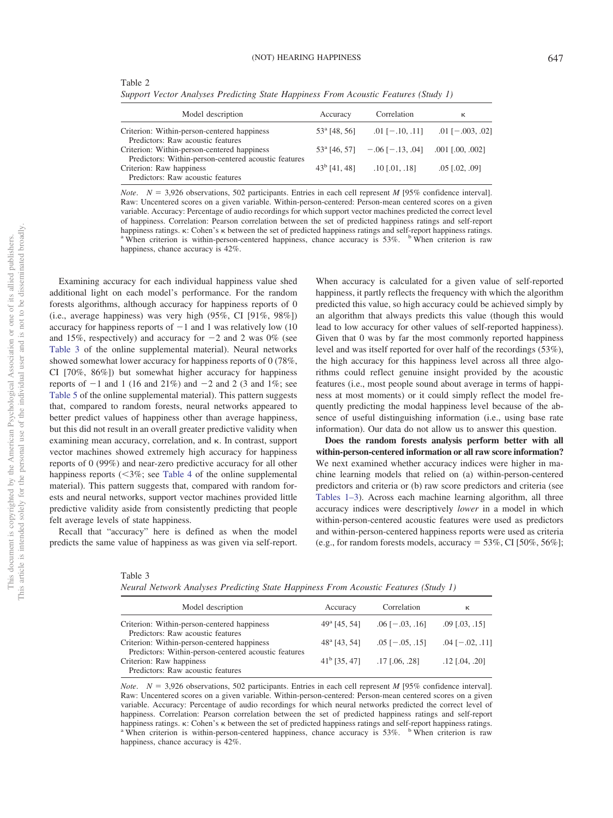<span id="page-5-0"></span>

| Table 2                                                                             |  |
|-------------------------------------------------------------------------------------|--|
| Support Vector Analyses Predicting State Happiness From Acoustic Features (Study 1) |  |

| Model description                                                                                   | Accuracy        | Correlation                                          | к                      |
|-----------------------------------------------------------------------------------------------------|-----------------|------------------------------------------------------|------------------------|
| Criterion: Within-person-centered happiness<br>Predictors: Raw acoustic features                    | $53a$ [48, 56]  | $.01$ [ $-.10, .11$ ]                                | $.01$ [ $-.003, .02$ ] |
| Criterion: Within-person-centered happiness<br>Predictors: Within-person-centered acoustic features |                 | $53^{\circ}$ [46, 57] - 06 [-.13, 04] 001 [.00, 002] |                        |
| Criterion: Raw happiness<br>Predictors: Raw acoustic features                                       | $43^b$ [41, 48] | $.10$ [.01, .18]                                     | $.05$ $[.02, .09]$     |

*Note.*  $N = 3,926$  observations, 502 participants. Entries in each cell represent *M* [95% confidence interval]. Raw: Uncentered scores on a given variable. Within-person-centered: Person-mean centered scores on a given variable. Accuracy: Percentage of audio recordings for which support vector machines predicted the correct level of happiness. Correlation: Pearson correlation between the set of predicted happiness ratings and self-report happiness ratings.  $\kappa$ : Cohen's  $\kappa$  between the set of predicted happiness ratings and self-report happiness ratings. a When criterion is raw happiness, chance accuracy is 42%.

Examining accuracy for each individual happiness value shed additional light on each model's performance. For the random forests algorithms, although accuracy for happiness reports of 0 (i.e., average happiness) was very high (95%, CI [91%, 98%]) accuracy for happiness reports of  $-1$  and 1 was relatively low (10) and 15%, respectively) and accuracy for  $-2$  and 2 was 0% (see [Table 3](http://dx.doi.org/10.1037/emo0000571.supp) of the online supplemental material). Neural networks showed somewhat lower accuracy for happiness reports of 0 (78%, CI [70%, 86%]) but somewhat higher accuracy for happiness reports of  $-1$  and 1 (16 and 21%) and  $-2$  and 2 (3 and 1%; see [Table 5](http://dx.doi.org/10.1037/emo0000571.supp) of the online supplemental material). This pattern suggests that, compared to random forests, neural networks appeared to better predict values of happiness other than average happiness, but this did not result in an overall greater predictive validity when examining mean accuracy, correlation, and  $\kappa$ . In contrast, support vector machines showed extremely high accuracy for happiness reports of 0 (99%) and near-zero predictive accuracy for all other happiness reports  $\left( \langle 3\% \rangle \right)$  see [Table 4](#page-10-0) of the online supplemental material). This pattern suggests that, compared with random forests and neural networks, support vector machines provided little predictive validity aside from consistently predicting that people felt average levels of state happiness.

Recall that "accuracy" here is defined as when the model predicts the same value of happiness as was given via self-report.

When accuracy is calculated for a given value of self-reported happiness, it partly reflects the frequency with which the algorithm predicted this value, so high accuracy could be achieved simply by an algorithm that always predicts this value (though this would lead to low accuracy for other values of self-reported happiness). Given that 0 was by far the most commonly reported happiness level and was itself reported for over half of the recordings (53%), the high accuracy for this happiness level across all three algorithms could reflect genuine insight provided by the acoustic features (i.e., most people sound about average in terms of happiness at most moments) or it could simply reflect the model frequently predicting the modal happiness level because of the absence of useful distinguishing information (i.e., using base rate information). Our data do not allow us to answer this question.

**Does the random forests analysis perform better with all within-person-centered information or all raw score information?** We next examined whether accuracy indices were higher in machine learning models that relied on (a) within-person-centered predictors and criteria or (b) raw score predictors and criteria (see [Tables 1–3\)](#page-4-0). Across each machine learning algorithm, all three accuracy indices were descriptively *lower* in a model in which within-person-centered acoustic features were used as predictors and within-person-centered happiness reports were used as criteria (e.g., for random forests models, accuracy =  $53\%$ , CI [ $50\%$ ,  $56\%$ ];

<span id="page-5-1"></span>

| Table 3                                                                             |  |  |  |  |
|-------------------------------------------------------------------------------------|--|--|--|--|
| Neural Network Analyses Predicting State Happiness From Acoustic Features (Study 1) |  |  |  |  |

| Model description                                                                | Accuracy              | Correlation                          | к                       |
|----------------------------------------------------------------------------------|-----------------------|--------------------------------------|-------------------------|
| Criterion: Within-person-centered happiness                                      | $49^{\circ}$ [45, 54] | $.06$ [ $-.03, .16$ ]                | $.09$ $[.03, .15]$      |
| Predictors: Raw acoustic features<br>Criterion: Within-person-centered happiness | $48^{\circ}$ [43, 54] | $.05$ [ $-.05, .15$ ]                | $.04$ [ $-.02, .11$ ]   |
| Predictors: Within-person-centered acoustic features<br>Criterion: Raw happiness |                       | $41^{\rm b}$ [35, 47] .17 [.06, .28] | $.12$ [ $.04$ , $.20$ ] |
| Predictors: Raw acoustic features                                                |                       |                                      |                         |

*Note.*  $N = 3,926$  observations, 502 participants. Entries in each cell represent *M* [95% confidence interval]. Raw: Uncentered scores on a given variable. Within-person-centered: Person-mean centered scores on a given variable. Accuracy: Percentage of audio recordings for which neural networks predicted the correct level of happiness. Correlation: Pearson correlation between the set of predicted happiness ratings and self-report happiness ratings.  $\kappa$ : Cohen's  $\kappa$  between the set of predicted happiness ratings and self-report happiness ratings. a When criterion is raw happiness, chance accuracy is 42%.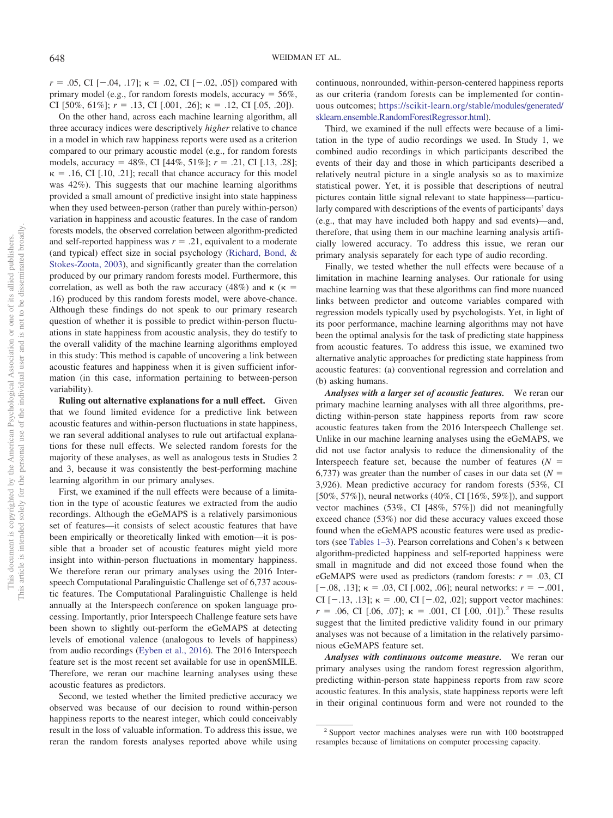$r = .05$ , CI [ $-.04, .17$ ];  $\kappa = .02$ , CI [ $-.02, .05$ ]) compared with primary model (e.g., for random forests models, accuracy  $= 56\%$ , CI [50%, 61%];  $r = .13$ , CI [.001, .26];  $\kappa = .12$ , CI [.05, .20]).

On the other hand, across each machine learning algorithm, all three accuracy indices were descriptively *higher* relative to chance in a model in which raw happiness reports were used as a criterion compared to our primary acoustic model (e.g., for random forests models, accuracy - 48%, CI [44%, 51%]; *r* - .21, CI [.13, .28];  $\kappa = .16$ , CI [.10, .21]; recall that chance accuracy for this model was 42%). This suggests that our machine learning algorithms provided a small amount of predictive insight into state happiness when they used between-person (rather than purely within-person) variation in happiness and acoustic features. In the case of random forests models, the observed correlation between algorithm-predicted and self-reported happiness was  $r = .21$ , equivalent to a moderate (and typical) effect size in social psychology [\(Richard, Bond, &](#page-15-23) [Stokes-Zoota, 2003\)](#page-15-23), and significantly greater than the correlation produced by our primary random forests model. Furthermore, this correlation, as well as both the raw accuracy (48%) and  $\kappa$  ( $\kappa$  = .16) produced by this random forests model, were above-chance. Although these findings do not speak to our primary research question of whether it is possible to predict within-person fluctuations in state happiness from acoustic analysis, they do testify to the overall validity of the machine learning algorithms employed in this study: This method is capable of uncovering a link between acoustic features and happiness when it is given sufficient information (in this case, information pertaining to between-person variability).

**Ruling out alternative explanations for a null effect.** Given that we found limited evidence for a predictive link between acoustic features and within-person fluctuations in state happiness, we ran several additional analyses to rule out artifactual explanations for these null effects. We selected random forests for the majority of these analyses, as well as analogous tests in Studies 2 and 3, because it was consistently the best-performing machine learning algorithm in our primary analyses.

First, we examined if the null effects were because of a limitation in the type of acoustic features we extracted from the audio recordings. Although the eGeMAPS is a relatively parsimonious set of features—it consists of select acoustic features that have been empirically or theoretically linked with emotion—it is possible that a broader set of acoustic features might yield more insight into within-person fluctuations in momentary happiness. We therefore reran our primary analyses using the 2016 Interspeech Computational Paralinguistic Challenge set of 6,737 acoustic features. The Computational Paralinguistic Challenge is held annually at the Interspeech conference on spoken language processing. Importantly, prior Interspeech Challenge feature sets have been shown to slightly out-perform the eGeMAPS at detecting levels of emotional valence (analogous to levels of happiness) from audio recordings [\(Eyben et al., 2016\)](#page-14-9). The 2016 Interspeech feature set is the most recent set available for use in openSMILE. Therefore, we reran our machine learning analyses using these acoustic features as predictors.

Second, we tested whether the limited predictive accuracy we observed was because of our decision to round within-person happiness reports to the nearest integer, which could conceivably result in the loss of valuable information. To address this issue, we reran the random forests analyses reported above while using

continuous, nonrounded, within-person-centered happiness reports as our criteria (random forests can be implemented for continuous outcomes; [https://scikit-learn.org/stable/modules/generated/](https://scikit-learn.org/stable/modules/generated/sklearn.ensemble.RandomForestRegressor.html) [sklearn.ensemble.RandomForestRegressor.html\)](https://scikit-learn.org/stable/modules/generated/sklearn.ensemble.RandomForestRegressor.html).

Third, we examined if the null effects were because of a limitation in the type of audio recordings we used. In Study 1, we combined audio recordings in which participants described the events of their day and those in which participants described a relatively neutral picture in a single analysis so as to maximize statistical power. Yet, it is possible that descriptions of neutral pictures contain little signal relevant to state happiness—particularly compared with descriptions of the events of participants' days (e.g., that may have included both happy and sad events)—and, therefore, that using them in our machine learning analysis artificially lowered accuracy. To address this issue, we reran our primary analysis separately for each type of audio recording.

Finally, we tested whether the null effects were because of a limitation in machine learning analyses. Our rationale for using machine learning was that these algorithms can find more nuanced links between predictor and outcome variables compared with regression models typically used by psychologists. Yet, in light of its poor performance, machine learning algorithms may not have been the optimal analysis for the task of predicting state happiness from acoustic features. To address this issue, we examined two alternative analytic approaches for predicting state happiness from acoustic features: (a) conventional regression and correlation and (b) asking humans.

*Analyses with a larger set of acoustic features.* We reran our primary machine learning analyses with all three algorithms, predicting within-person state happiness reports from raw score acoustic features taken from the 2016 Interspeech Challenge set. Unlike in our machine learning analyses using the eGeMAPS, we did not use factor analysis to reduce the dimensionality of the Interspeech feature set, because the number of features  $(N =$ 6,737) was greater than the number of cases in our data set  $(N =$ 3,926). Mean predictive accuracy for random forests (53%, CI [50%, 57%]), neural networks (40%, CI [16%, 59%]), and support vector machines (53%, CI [48%, 57%]) did not meaningfully exceed chance (53%) nor did these accuracy values exceed those found when the eGeMAPS acoustic features were used as predictors (see Tables  $1-3$ ). Pearson correlations and Cohen's  $\kappa$  between algorithm-predicted happiness and self-reported happiness were small in magnitude and did not exceed those found when the eGeMAPS were used as predictors (random forests:  $r = .03$ , CI  $[-.08, .13]$ ;  $\kappa = .03$ , CI [.002, .06]; neural networks:  $r = -.001$ , CI  $[-.13, .13]$ ;  $\kappa = .00$ , CI  $[-.02, .02]$ ; support vector machines:  $r = .06$ , CI [.06, .07];  $\kappa = .001$ , CI [.00, .01]).<sup>2</sup> These results suggest that the limited predictive validity found in our primary analyses was not because of a limitation in the relatively parsimonious eGeMAPS feature set.

*Analyses with continuous outcome measure.* We reran our primary analyses using the random forest regression algorithm, predicting within-person state happiness reports from raw score acoustic features. In this analysis, state happiness reports were left in their original continuous form and were not rounded to the

<sup>2</sup> Support vector machines analyses were run with 100 bootstrapped resamples because of limitations on computer processing capacity.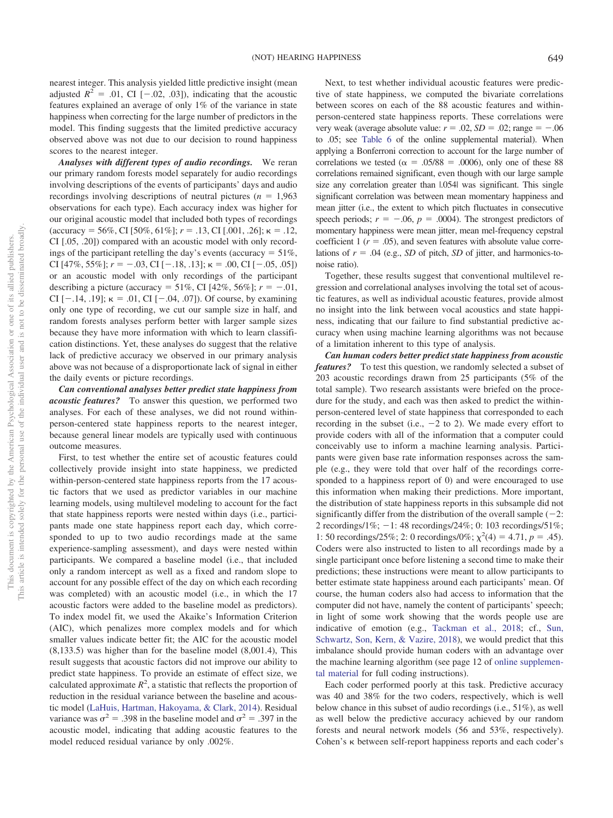nearest integer. This analysis yielded little predictive insight (mean adjusted  $R^2 = .01$ , CI  $[-.02, .03]$ ), indicating that the acoustic features explained an average of only 1% of the variance in state happiness when correcting for the large number of predictors in the model. This finding suggests that the limited predictive accuracy observed above was not due to our decision to round happiness scores to the nearest integer.

*Analyses with different types of audio recordings.* We reran our primary random forests model separately for audio recordings involving descriptions of the events of participants' days and audio recordings involving descriptions of neutral pictures  $(n = 1,963)$ observations for each type). Each accuracy index was higher for our original acoustic model that included both types of recordings  $(\text{accuracy} = 56\%, \text{CI} [50\%, 61\%]; r = .13, \text{CI} [.001, .26]; \kappa = .12,$ CI [.05, .20]) compared with an acoustic model with only recordings of the participant retelling the day's events (accuracy  $= 51\%$ , CI [47\%, 55\%];  $r = -.03$ , CI [-.18, .13];  $\kappa = .00$ , CI [-.05, .05]) or an acoustic model with only recordings of the participant describing a picture (accuracy =  $51\%$ , CI [42\%,  $56\%$ ];  $r = -.01$ , CI  $[-.14, .19]$ ;  $\kappa = .01$ , CI  $[-.04, .07]$ ). Of course, by examining only one type of recording, we cut our sample size in half, and random forests analyses perform better with larger sample sizes because they have more information with which to learn classification distinctions. Yet, these analyses do suggest that the relative lack of predictive accuracy we observed in our primary analysis above was not because of a disproportionate lack of signal in either the daily events or picture recordings.

*Can conventional analyses better predict state happiness from acoustic features?* To answer this question, we performed two analyses. For each of these analyses, we did not round withinperson-centered state happiness reports to the nearest integer, because general linear models are typically used with continuous outcome measures.

First, to test whether the entire set of acoustic features could collectively provide insight into state happiness, we predicted within-person-centered state happiness reports from the 17 acoustic factors that we used as predictor variables in our machine learning models, using multilevel modeling to account for the fact that state happiness reports were nested within days (i.e., participants made one state happiness report each day, which corresponded to up to two audio recordings made at the same experience-sampling assessment), and days were nested within participants. We compared a baseline model (i.e., that included only a random intercept as well as a fixed and random slope to account for any possible effect of the day on which each recording was completed) with an acoustic model (i.e., in which the 17 acoustic factors were added to the baseline model as predictors). To index model fit, we used the Akaike's Information Criterion (AIC), which penalizes more complex models and for which smaller values indicate better fit; the AIC for the acoustic model (8,133.5) was higher than for the baseline model (8,001.4), This result suggests that acoustic factors did not improve our ability to predict state happiness. To provide an estimate of effect size, we calculated approximate  $R^2$ , a statistic that reflects the proportion of reduction in the residual variance between the baseline and acoustic model [\(LaHuis, Hartman, Hakoyama, & Clark, 2014\)](#page-15-24). Residual variance was  $\sigma^2 = .398$  in the baseline model and  $\sigma^2 = .397$  in the acoustic model, indicating that adding acoustic features to the model reduced residual variance by only .002%.

Next, to test whether individual acoustic features were predictive of state happiness, we computed the bivariate correlations between scores on each of the 88 acoustic features and withinperson-centered state happiness reports. These correlations were very weak (average absolute value:  $r = .02$ ,  $SD = .02$ ; range =  $-.06$ to .05; see [Table 6](http://dx.doi.org/10.1037/emo0000571.supp) of the online supplemental material). When applying a Bonferroni correction to account for the large number of correlations we tested ( $\alpha = .05/88 = .0006$ ), only one of these 88 correlations remained significant, even though with our large sample size any correlation greater than  $1.054$  was significant. This single significant correlation was between mean momentary happiness and mean jitter (i.e., the extent to which pitch fluctuates in consecutive speech periods;  $r = -.06$ ,  $p = .0004$ ). The strongest predictors of momentary happiness were mean jitter, mean mel-frequency cepstral coefficient 1 ( $r = .05$ ), and seven features with absolute value correlations of  $r = .04$  (e.g., *SD* of pitch, *SD* of jitter, and harmonics-tonoise ratio).

Together, these results suggest that conventional multilevel regression and correlational analyses involving the total set of acoustic features, as well as individual acoustic features, provide almost no insight into the link between vocal acoustics and state happiness, indicating that our failure to find substantial predictive accuracy when using machine learning algorithms was not because of a limitation inherent to this type of analysis.

*Can human coders better predict state happiness from acoustic features?* To test this question, we randomly selected a subset of 203 acoustic recordings drawn from 25 participants (5% of the total sample). Two research assistants were briefed on the procedure for the study, and each was then asked to predict the withinperson-centered level of state happiness that corresponded to each recording in the subset (i.e.,  $-2$  to 2). We made every effort to provide coders with all of the information that a computer could conceivably use to inform a machine learning analysis. Participants were given base rate information responses across the sample (e.g., they were told that over half of the recordings corresponded to a happiness report of 0) and were encouraged to use this information when making their predictions. More important, the distribution of state happiness reports in this subsample did not significantly differ from the distribution of the overall sample  $(-2)$ : 2 recordings/1%;  $-1$ : 48 recordings/24%; 0: 103 recordings/51%; 1: 50 recordings/25%; 2: 0 recordings/0%;  $\chi^2(4) = 4.71$ ,  $p = .45$ ). Coders were also instructed to listen to all recordings made by a single participant once before listening a second time to make their predictions; these instructions were meant to allow participants to better estimate state happiness around each participants' mean. Of course, the human coders also had access to information that the computer did not have, namely the content of participants' speech; in light of some work showing that the words people use are indicative of emotion (e.g., [Tackman et al., 2018;](#page-15-25) cf., [Sun,](#page-15-26) [Schwartz, Son, Kern, & Vazire, 2018\)](#page-15-26), we would predict that this imbalance should provide human coders with an advantage over the machine learning algorithm (see page 12 of [online supplemen](http://dx.doi.org/10.1037/emo0000571.supp)[tal material](http://dx.doi.org/10.1037/emo0000571.supp) for full coding instructions).

Each coder performed poorly at this task. Predictive accuracy was 40 and 38% for the two coders, respectively, which is well below chance in this subset of audio recordings (i.e., 51%), as well as well below the predictive accuracy achieved by our random forests and neural network models (56 and 53%, respectively). Cohen's  $\kappa$  between self-report happiness reports and each coder's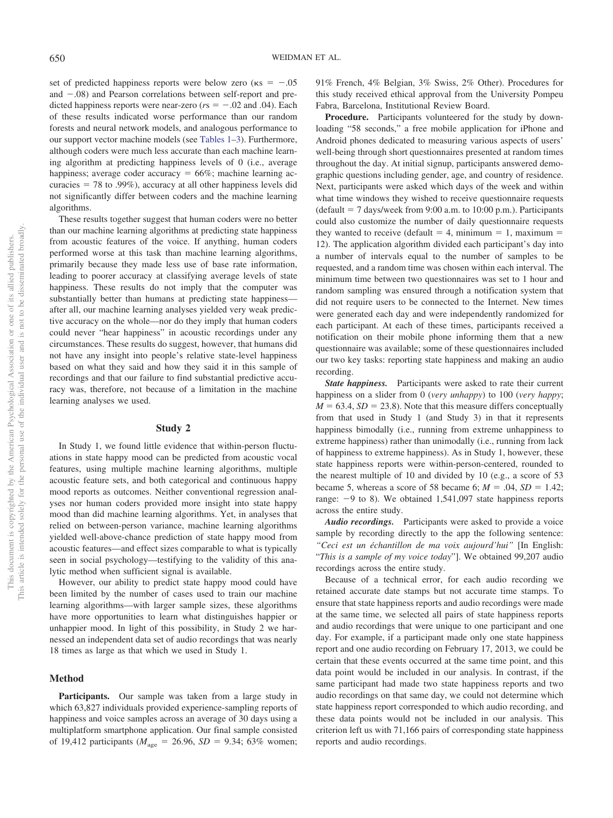set of predicted happiness reports were below zero ( $\kappa s = -.05$ and  $-.08$ ) and Pearson correlations between self-report and predicted happiness reports were near-zero ( $rs = -.02$  and .04). Each of these results indicated worse performance than our random forests and neural network models, and analogous performance to our support vector machine models (see [Tables 1](#page-4-0)[–3\)](#page-5-1). Furthermore, although coders were much less accurate than each machine learning algorithm at predicting happiness levels of 0 (i.e., average happiness; average coder accuracy  $= 66\%$ ; machine learning accuracies  $= 78$  to .99%), accuracy at all other happiness levels did not significantly differ between coders and the machine learning algorithms.

These results together suggest that human coders were no better than our machine learning algorithms at predicting state happiness from acoustic features of the voice. If anything, human coders performed worse at this task than machine learning algorithms, primarily because they made less use of base rate information, leading to poorer accuracy at classifying average levels of state happiness. These results do not imply that the computer was substantially better than humans at predicting state happiness after all, our machine learning analyses yielded very weak predictive accuracy on the whole—nor do they imply that human coders could never "hear happiness" in acoustic recordings under any circumstances. These results do suggest, however, that humans did not have any insight into people's relative state-level happiness based on what they said and how they said it in this sample of recordings and that our failure to find substantial predictive accuracy was, therefore, not because of a limitation in the machine learning analyses we used.

#### **Study 2**

In Study 1, we found little evidence that within-person fluctuations in state happy mood can be predicted from acoustic vocal features, using multiple machine learning algorithms, multiple acoustic feature sets, and both categorical and continuous happy mood reports as outcomes. Neither conventional regression analyses nor human coders provided more insight into state happy mood than did machine learning algorithms. Yet, in analyses that relied on between-person variance, machine learning algorithms yielded well-above-chance prediction of state happy mood from acoustic features—and effect sizes comparable to what is typically seen in social psychology—testifying to the validity of this analytic method when sufficient signal is available.

However, our ability to predict state happy mood could have been limited by the number of cases used to train our machine learning algorithms—with larger sample sizes, these algorithms have more opportunities to learn what distinguishes happier or unhappier mood. In light of this possibility, in Study 2 we harnessed an independent data set of audio recordings that was nearly 18 times as large as that which we used in Study 1.

#### **Method**

**Participants.** Our sample was taken from a large study in which 63,827 individuals provided experience-sampling reports of happiness and voice samples across an average of 30 days using a multiplatform smartphone application. Our final sample consisted of 19,412 participants ( $M_{\text{age}} = 26.96$ ,  $SD = 9.34$ ; 63% women; 91% French, 4% Belgian, 3% Swiss, 2% Other). Procedures for this study received ethical approval from the University Pompeu Fabra, Barcelona, Institutional Review Board.

**Procedure.** Participants volunteered for the study by downloading "58 seconds," a free mobile application for iPhone and Android phones dedicated to measuring various aspects of users' well-being through short questionnaires presented at random times throughout the day. At initial signup, participants answered demographic questions including gender, age, and country of residence. Next, participants were asked which days of the week and within what time windows they wished to receive questionnaire requests  $(default = 7 days/week from 9:00 a.m. to 10:00 p.m.).$  Participants could also customize the number of daily questionnaire requests they wanted to receive (default  $=$  4, minimum  $=$  1, maximum  $=$ 12). The application algorithm divided each participant's day into a number of intervals equal to the number of samples to be requested, and a random time was chosen within each interval. The minimum time between two questionnaires was set to 1 hour and random sampling was ensured through a notification system that did not require users to be connected to the Internet. New times were generated each day and were independently randomized for each participant. At each of these times, participants received a notification on their mobile phone informing them that a new questionnaire was available; some of these questionnaires included our two key tasks: reporting state happiness and making an audio recording.

*State happiness.* Participants were asked to rate their current happiness on a slider from 0 (*very unhappy*) to 100 (*very happy*;  $M = 63.4$ ,  $SD = 23.8$ ). Note that this measure differs conceptually from that used in Study 1 (and Study 3) in that it represents happiness bimodally (i.e., running from extreme unhappiness to extreme happiness) rather than unimodally (i.e., running from lack of happiness to extreme happiness). As in Study 1, however, these state happiness reports were within-person-centered, rounded to the nearest multiple of 10 and divided by 10 (e.g., a score of 53 became 5, whereas a score of 58 became 6;  $M = .04$ ,  $SD = 1.42$ ; range:  $-9$  to 8). We obtained 1,541,097 state happiness reports across the entire study.

*Audio recordings.* Participants were asked to provide a voice sample by recording directly to the app the following sentence: *"Ceci est un échantillon de ma voix aujourd'hui"* [In English: "*This is a sample of my voice today*"]. We obtained 99,207 audio recordings across the entire study.

Because of a technical error, for each audio recording we retained accurate date stamps but not accurate time stamps. To ensure that state happiness reports and audio recordings were made at the same time, we selected all pairs of state happiness reports and audio recordings that were unique to one participant and one day. For example, if a participant made only one state happiness report and one audio recording on February 17, 2013, we could be certain that these events occurred at the same time point, and this data point would be included in our analysis. In contrast, if the same participant had made two state happiness reports and two audio recordings on that same day, we could not determine which state happiness report corresponded to which audio recording, and these data points would not be included in our analysis. This criterion left us with 71,166 pairs of corresponding state happiness reports and audio recordings.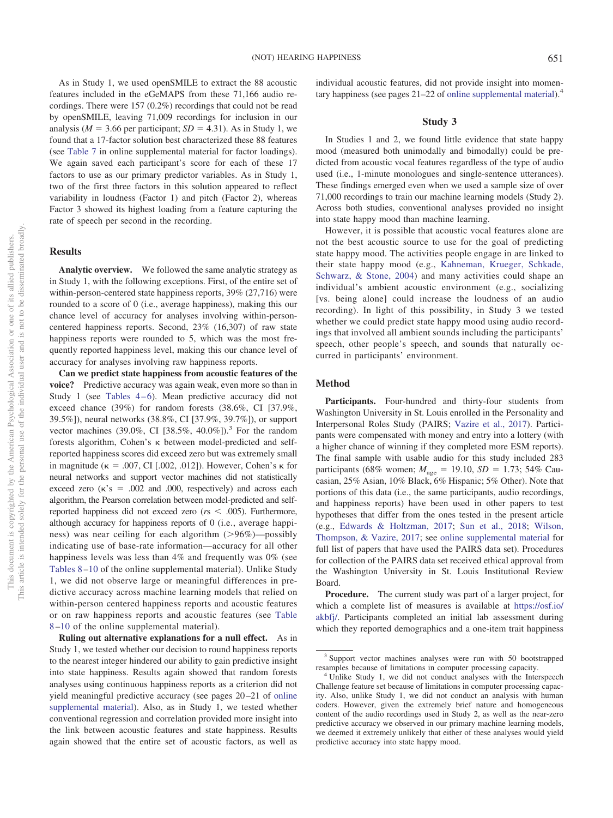As in Study 1, we used openSMILE to extract the 88 acoustic features included in the eGeMAPS from these 71,166 audio recordings. There were 157 (0.2%) recordings that could not be read by openSMILE, leaving 71,009 recordings for inclusion in our analysis ( $M = 3.66$  per participant;  $SD = 4.31$ ). As in Study 1, we found that a 17-factor solution best characterized these 88 features (see [Table 7](http://dx.doi.org/10.1037/emo0000571.supp) in online supplemental material for factor loadings). We again saved each participant's score for each of these 17 factors to use as our primary predictor variables. As in Study 1, two of the first three factors in this solution appeared to reflect variability in loudness (Factor 1) and pitch (Factor 2), whereas Factor 3 showed its highest loading from a feature capturing the rate of speech per second in the recording.

## **Results**

**Analytic overview.** We followed the same analytic strategy as in Study 1, with the following exceptions. First, of the entire set of within-person-centered state happiness reports, 39% (27,716) were rounded to a score of 0 (i.e., average happiness), making this our chance level of accuracy for analyses involving within-personcentered happiness reports. Second, 23% (16,307) of raw state happiness reports were rounded to 5, which was the most frequently reported happiness level, making this our chance level of accuracy for analyses involving raw happiness reports.

**Can we predict state happiness from acoustic features of the voice?** Predictive accuracy was again weak, even more so than in Study 1 (see Tables  $4-6$ ). Mean predictive accuracy did not exceed chance (39%) for random forests (38.6%, CI [37.9%, 39.5%]), neural networks (38.8%, CI [37.9%, 39.7%]), or support vector machines (39.0%, CI [38.5%, 40.0%]).<sup>3</sup> For the random forests algorithm, Cohen's  $\kappa$  between model-predicted and selfreported happiness scores did exceed zero but was extremely small in magnitude ( $\kappa = .007$ , CI [.002, .012]). However, Cohen's  $\kappa$  for neural networks and support vector machines did not statistically exceed zero  $(\kappa's = .002$  and .000, respectively) and across each algorithm, the Pearson correlation between model-predicted and selfreported happiness did not exceed zero ( $r<sub>s</sub> < .005$ ). Furthermore, although accuracy for happiness reports of 0 (i.e., average happiness) was near ceiling for each algorithm ( 96%)—possibly indicating use of base-rate information—accuracy for all other happiness levels was less than 4% and frequently was 0% (see [Tables 8](http://dx.doi.org/10.1037/emo0000571.supp) [–10](http://dx.doi.org/10.1037/emo0000571.supp) of the online supplemental material). Unlike Study 1, we did not observe large or meaningful differences in predictive accuracy across machine learning models that relied on within-person centered happiness reports and acoustic features or on raw happiness reports and acoustic features (see [Table](http://dx.doi.org/10.1037/emo0000571.supp) [8](http://dx.doi.org/10.1037/emo0000571.supp) [–10](http://dx.doi.org/10.1037/emo0000571.supp) of the online supplemental material).

**Ruling out alternative explanations for a null effect.** As in Study 1, we tested whether our decision to round happiness reports to the nearest integer hindered our ability to gain predictive insight into state happiness. Results again showed that random forests analyses using continuous happiness reports as a criterion did not yield meaningful predictive accuracy (see pages 20 –21 of [online](http://dx.doi.org/10.1037/emo0000571.supp) [supplemental material\)](http://dx.doi.org/10.1037/emo0000571.supp). Also, as in Study 1, we tested whether conventional regression and correlation provided more insight into the link between acoustic features and state happiness. Results again showed that the entire set of acoustic factors, as well as

individual acoustic features, did not provide insight into momentary happiness (see pages 21–22 of [online supplemental material\)](http://dx.doi.org/10.1037/emo0000571.supp).4

## **Study 3**

In Studies 1 and 2, we found little evidence that state happy mood (measured both unimodally and bimodally) could be predicted from acoustic vocal features regardless of the type of audio used (i.e., 1-minute monologues and single-sentence utterances). These findings emerged even when we used a sample size of over 71,000 recordings to train our machine learning models (Study 2). Across both studies, conventional analyses provided no insight into state happy mood than machine learning.

However, it is possible that acoustic vocal features alone are not the best acoustic source to use for the goal of predicting state happy mood. The activities people engage in are linked to their state happy mood (e.g., [Kahneman, Krueger, Schkade,](#page-14-14) [Schwarz, & Stone, 2004\)](#page-14-14) and many activities could shape an individual's ambient acoustic environment (e.g., socializing [vs. being alone] could increase the loudness of an audio recording). In light of this possibility, in Study 3 we tested whether we could predict state happy mood using audio recordings that involved all ambient sounds including the participants' speech, other people's speech, and sounds that naturally occurred in participants' environment.

## **Method**

**Participants.** Four-hundred and thirty-four students from Washington University in St. Louis enrolled in the Personality and Interpersonal Roles Study (PAIRS; [Vazire et al., 2017\)](#page-16-4). Participants were compensated with money and entry into a lottery (with a higher chance of winning if they completed more ESM reports). The final sample with usable audio for this study included 283 participants (68% women;  $M_{\text{age}} = 19.10, SD = 1.73$ ; 54% Caucasian, 25% Asian, 10% Black, 6% Hispanic; 5% Other). Note that portions of this data (i.e., the same participants, audio recordings, and happiness reports) have been used in other papers to test hypotheses that differ from the ones tested in the present article (e.g., [Edwards & Holtzman, 2017;](#page-14-15) [Sun et al., 2018;](#page-15-26) [Wilson,](#page-16-5) [Thompson, & Vazire, 2017;](#page-16-5) see [online supplemental material](http://dx.doi.org/10.1037/emo0000571.supp) for full list of papers that have used the PAIRS data set). Procedures for collection of the PAIRS data set received ethical approval from the Washington University in St. Louis Institutional Review Board.

**Procedure.** The current study was part of a larger project, for which a complete list of measures is available at [https://osf.io/](https://osf.io/akbfj/) [akbfj/.](https://osf.io/akbfj/) Participants completed an initial lab assessment during which they reported demographics and a one-item trait happiness

<sup>3</sup> Support vector machines analyses were run with 50 bootstrapped resamples because of limitations in computer processing capacity. <sup>4</sup> Unlike Study 1, we did not conduct analyses with the Interspeech

Challenge feature set because of limitations in computer processing capacity. Also, unlike Study 1, we did not conduct an analysis with human coders. However, given the extremely brief nature and homogeneous content of the audio recordings used in Study 2, as well as the near-zero predictive accuracy we observed in our primary machine learning models, we deemed it extremely unlikely that either of these analyses would yield predictive accuracy into state happy mood.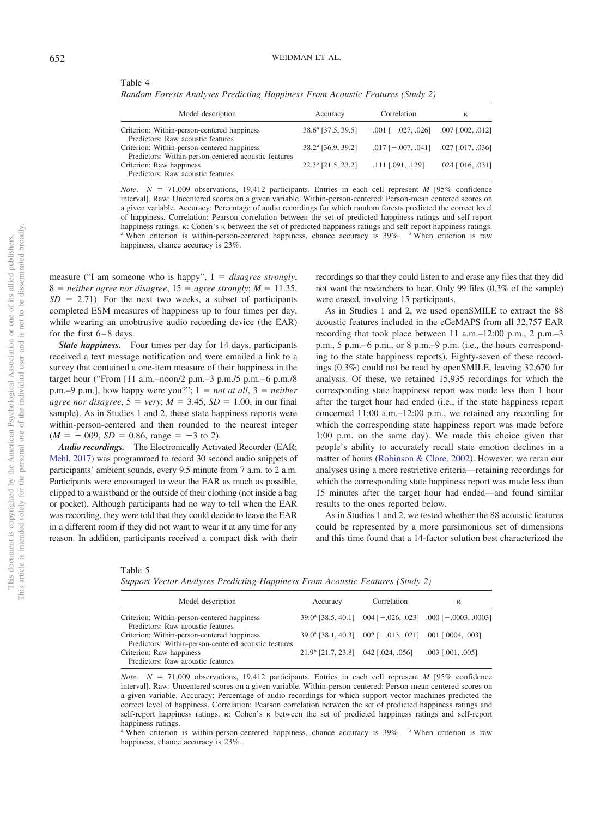<span id="page-10-0"></span>Table 4

*Random Forests Analyses Predicting Happiness From Acoustic Features (Study 2)*

| Model description                                                                                                     | Accuracy                         | Correlation                                           | к                     |
|-----------------------------------------------------------------------------------------------------------------------|----------------------------------|-------------------------------------------------------|-----------------------|
| Criterion: Within-person-centered happiness<br>Predictors: Raw acoustic features                                      |                                  | $38.6^{\circ}$ [37.5, 39.5] $-.001$ [ $-.027, .026$ ] | $.007$ $[.002, .012]$ |
| Criterion: Within-person-centered happiness                                                                           | 38.2 <sup>a</sup> [36.9, 39.2]   | $.017$ [ $-.007, .041$ ] $.027$ [ $.017, .036$ ]      |                       |
| Predictors: Within-person-centered acoustic features<br>Criterion: Raw happiness<br>Predictors: Raw acoustic features | $22.3^{\mathrm{b}}$ [21.5, 23.2] | $.111$ $[.091, .129]$                                 | $.024$ [.016, .031]   |

*Note.*  $N = 71,009$  observations, 19,412 participants. Entries in each cell represent *M* [95% confidence interval]. Raw: Uncentered scores on a given variable. Within-person-centered: Person-mean centered scores on a given variable. Accuracy: Percentage of audio recordings for which random forests predicted the correct level of happiness. Correlation: Pearson correlation between the set of predicted happiness ratings and self-report happiness ratings.  $\kappa$ : Cohen's  $\kappa$  between the set of predicted happiness ratings and self-report happiness ratings. a When criterion is raw happiness, chance accuracy is 23%.

measure ("I am someone who is happy",  $1 = disagree \ strongly,$  $8 =$  *neither agree nor disagree*,  $15 =$  *agree strongly*;  $M = 11.35$ ,  $SD = 2.71$ ). For the next two weeks, a subset of participants completed ESM measures of happiness up to four times per day, while wearing an unobtrusive audio recording device (the EAR) for the first  $6 - 8$  days.

*State happiness.* Four times per day for 14 days, participants received a text message notification and were emailed a link to a survey that contained a one-item measure of their happiness in the target hour ("From [11 a.m.–noon/2 p.m.–3 p.m./5 p.m.– 6 p.m./8 p.m.–9 p.m.], how happy were you?";  $1 = not at all$ ,  $3 = neither$  $agree\ nor\ disagree, 5 = very; M = 3.45, SD = 1.00, in our final$ sample). As in Studies 1 and 2, these state happiness reports were within-person-centered and then rounded to the nearest integer  $(M = -.009, SD = 0.86, range = -3$  to 2).

*Audio recordings.* The Electronically Activated Recorder (EAR; [Mehl, 2017\)](#page-15-27) was programmed to record 30 second audio snippets of participants' ambient sounds, every 9.5 minute from 7 a.m. to 2 a.m. Participants were encouraged to wear the EAR as much as possible, clipped to a waistband or the outside of their clothing (not inside a bag or pocket). Although participants had no way to tell when the EAR was recording, they were told that they could decide to leave the EAR in a different room if they did not want to wear it at any time for any reason. In addition, participants received a compact disk with their recordings so that they could listen to and erase any files that they did not want the researchers to hear. Only 99 files (0.3% of the sample) were erased, involving 15 participants.

As in Studies 1 and 2, we used openSMILE to extract the 88 acoustic features included in the eGeMAPS from all 32,757 EAR recording that took place between 11 a.m.–12:00 p.m., 2 p.m.–3 p.m., 5 p.m.– 6 p.m., or 8 p.m.–9 p.m. (i.e., the hours corresponding to the state happiness reports). Eighty-seven of these recordings (0.3%) could not be read by openSMILE, leaving 32,670 for analysis. Of these, we retained 15,935 recordings for which the corresponding state happiness report was made less than 1 hour after the target hour had ended (i.e., if the state happiness report concerned 11:00 a.m.–12:00 p.m., we retained any recording for which the corresponding state happiness report was made before 1:00 p.m. on the same day). We made this choice given that people's ability to accurately recall state emotion declines in a matter of hours [\(Robinson & Clore, 2002\)](#page-15-28). However, we reran our analyses using a more restrictive criteria—retaining recordings for which the corresponding state happiness report was made less than 15 minutes after the target hour had ended—and found similar results to the ones reported below.

As in Studies 1 and 2, we tested whether the 88 acoustic features could be represented by a more parsimonious set of dimensions and this time found that a 14-factor solution best characterized the

Table 5

*Support Vector Analyses Predicting Happiness From Acoustic Features (Study 2)*

| Model description                                    | Accuracy                                | Correlation                                                          | к                                                                   |
|------------------------------------------------------|-----------------------------------------|----------------------------------------------------------------------|---------------------------------------------------------------------|
| Criterion: Within-person-centered happiness          |                                         |                                                                      | $39.0^{\circ}$ [38.5, 40.1] .004 [-.026, .023] .000 [-.0003, .0003] |
| Predictors: Raw acoustic features                    |                                         |                                                                      |                                                                     |
| Criterion: Within-person-centered happiness          |                                         | 39.0 <sup>a</sup> [38.1, 40.3] .002 [-.013, .021] .001 [.0004, .003] |                                                                     |
| Predictors: Within-person-centered acoustic features |                                         |                                                                      |                                                                     |
| Criterion: Raw happiness                             | $21.9^b$ [21.7, 23.8] .042 [.024, .056] |                                                                      | $.003$ [ $.001, .005$ ]                                             |
| Predictors: Raw acoustic features                    |                                         |                                                                      |                                                                     |

*Note.*  $N = 71,009$  observations, 19,412 participants. Entries in each cell represent *M* [95% confidence interval]. Raw: Uncentered scores on a given variable. Within-person-centered: Person-mean centered scores on a given variable. Accuracy: Percentage of audio recordings for which support vector machines predicted the correct level of happiness. Correlation: Pearson correlation between the set of predicted happiness ratings and self-report happiness ratings.  $\kappa$ : Cohen's  $\kappa$  between the set of predicted happiness ratings and self-report happiness ratings.

<sup>a</sup> When criterion is within-person-centered happiness, chance accuracy is 39%. <sup>b</sup> When criterion is raw happiness, chance accuracy is 23%.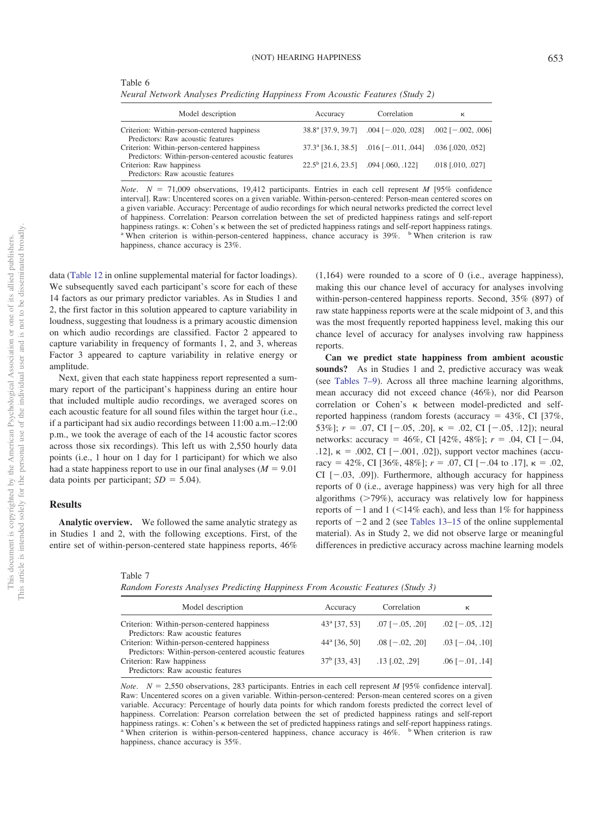Table 6

*Neural Network Analyses Predicting Happiness From Acoustic Features (Study 2)*

| Model description                                                                                   | Accuracy                                      | Correlation                                                          | к                   |
|-----------------------------------------------------------------------------------------------------|-----------------------------------------------|----------------------------------------------------------------------|---------------------|
| Criterion: Within-person-centered happiness<br>Predictors: Raw acoustic features                    |                                               | $38.8^{\text{a}}$ [37.9, 39.7] .004 [-.020, .028] .002 [-.002, .006] |                     |
| Criterion: Within-person-centered happiness<br>Predictors: Within-person-centered acoustic features |                                               | $37.3^{\circ}$ [36.1, 38.5] .016 [-.011, .044] .036 [.020, .052]     |                     |
| Criterion: Raw happiness<br>Predictors: Raw acoustic features                                       | $22.5^{\circ}$ [21.6, 23.5] .094 [.060, .122] |                                                                      | $.018$ [.010, .027] |

*Note.*  $N = 71,009$  observations, 19,412 participants. Entries in each cell represent *M* [95% confidence interval]. Raw: Uncentered scores on a given variable. Within-person-centered: Person-mean centered scores on a given variable. Accuracy: Percentage of audio recordings for which neural networks predicted the correct level of happiness. Correlation: Pearson correlation between the set of predicted happiness ratings and self-report happiness ratings.  $\kappa$ : Cohen's  $\kappa$  between the set of predicted happiness ratings and self-report happiness ratings. a When criterion is raw happiness, chance accuracy is 23%.

data [\(Table 12](http://dx.doi.org/10.1037/emo0000571.supp) in online supplemental material for factor loadings). We subsequently saved each participant's score for each of these 14 factors as our primary predictor variables. As in Studies 1 and 2, the first factor in this solution appeared to capture variability in loudness, suggesting that loudness is a primary acoustic dimension on which audio recordings are classified. Factor 2 appeared to capture variability in frequency of formants 1, 2, and 3, whereas Factor 3 appeared to capture variability in relative energy or amplitude.

Next, given that each state happiness report represented a summary report of the participant's happiness during an entire hour that included multiple audio recordings, we averaged scores on each acoustic feature for all sound files within the target hour (i.e., if a participant had six audio recordings between 11:00 a.m.–12:00 p.m., we took the average of each of the 14 acoustic factor scores across those six recordings). This left us with 2,550 hourly data points (i.e., 1 hour on 1 day for 1 participant) for which we also had a state happiness report to use in our final analyses  $(M = 9.01)$ data points per participant;  $SD = 5.04$ ).

# **Results**

**Analytic overview.** We followed the same analytic strategy as in Studies 1 and 2, with the following exceptions. First, of the entire set of within-person-centered state happiness reports, 46% (1,164) were rounded to a score of 0 (i.e., average happiness), making this our chance level of accuracy for analyses involving within-person-centered happiness reports. Second, 35% (897) of raw state happiness reports were at the scale midpoint of 3, and this was the most frequently reported happiness level, making this our chance level of accuracy for analyses involving raw happiness reports.

**Can we predict state happiness from ambient acoustic sounds?** As in Studies 1 and 2, predictive accuracy was weak (see [Tables 7–9\)](#page-11-0). Across all three machine learning algorithms, mean accuracy did not exceed chance (46%), nor did Pearson correlation or Cohen's  $\kappa$  between model-predicted and selfreported happiness (random forests (accuracy  $= 43\%$ , CI [37%, 53%];  $r = .07$ , CI  $[-.05, .20]$ ,  $\kappa = .02$ , CI  $[-.05, .12]$ ); neural networks: accuracy = 46%, CI [42%, 48%];  $r = .04$ , CI [-.04, .12],  $\kappa = .002$ , CI [ $-.001, .02$ ]), support vector machines (accuracy = 42%, CI [36%, 48%];  $r = .07$ , CI [-.04 to .17],  $\kappa = .02$ , CI  $[-.03, .09]$ ). Furthermore, although accuracy for happiness reports of 0 (i.e., average happiness) was very high for all three algorithms ( 79%), accuracy was relatively low for happiness reports of  $-1$  and  $1$  ( $\leq 14\%$  each), and less than 1% for happiness reports of  $-2$  and 2 (see [Tables 13–15](http://dx.doi.org/10.1037/emo0000571.supp) of the online supplemental material). As in Study 2, we did not observe large or meaningful differences in predictive accuracy across machine learning models

<span id="page-11-0"></span>Table 7

*Random Forests Analyses Predicting Happiness From Acoustic Features (Study 3)*

| Model description                                    | Accuracy              | Correlation           | к                     |
|------------------------------------------------------|-----------------------|-----------------------|-----------------------|
| Criterion: Within-person-centered happiness          | $43^{\circ}$ [37, 53] | $.07$ [ $-.05, .20$ ] | $.02$ [ $-.05, .12$ ] |
| Predictors: Raw acoustic features                    |                       |                       |                       |
| Criterion: Within-person-centered happiness          | $44^{\circ}$ [36, 50] | $.08$ [ $-.02, .20$ ] | $.03$ [ $-.04, .10$ ] |
| Predictors: Within-person-centered acoustic features |                       |                       |                       |
| Criterion: Raw happiness                             | $37^{\rm b}$ [33, 43] | $.13$ [.02, .29]      | $.06$ [ $-.01, .14$ ] |
| Predictors: Raw acoustic features                    |                       |                       |                       |

*Note.*  $N = 2,550$  observations, 283 participants. Entries in each cell represent *M* [95% confidence interval]. Raw: Uncentered scores on a given variable. Within-person-centered: Person-mean centered scores on a given variable. Accuracy: Percentage of hourly data points for which random forests predicted the correct level of happiness. Correlation: Pearson correlation between the set of predicted happiness ratings and self-report happiness ratings.  $\kappa$ : Cohen's  $\kappa$  between the set of predicted happiness ratings and self-report happiness ratings. a When criterion is raw happiness, chance accuracy is 35%.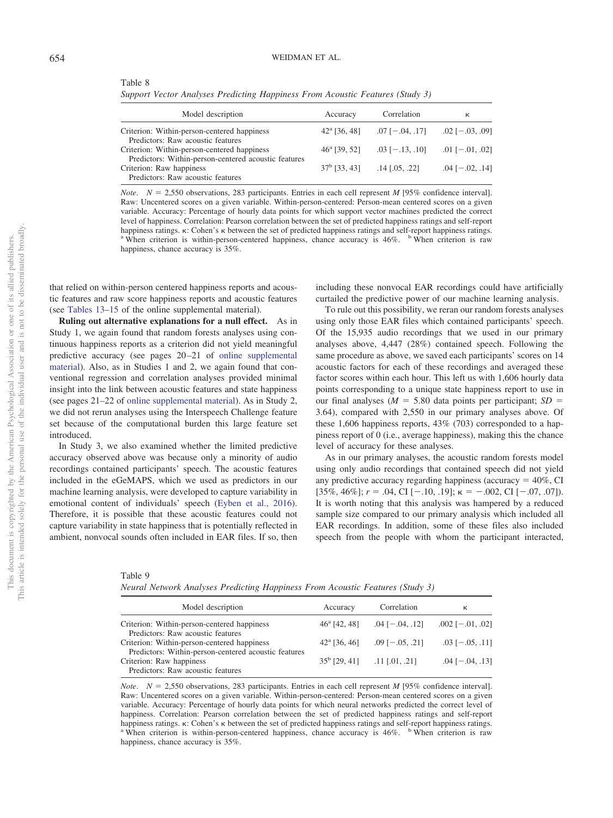Table 8

*Support Vector Analyses Predicting Happiness From Acoustic Features (Study 3)*

| Model description                                    | Accuracy              | Correlation           | к                     |
|------------------------------------------------------|-----------------------|-----------------------|-----------------------|
| Criterion: Within-person-centered happiness          | $42^{\circ}$ [36, 48] | $.07$ [ $-.04, .17$ ] | $.02$ [ $-.03, .09$ ] |
| Predictors: Raw acoustic features                    |                       |                       |                       |
| Criterion: Within-person-centered happiness          | $46a$ [39, 52]        | $.03$ [ $-.13, .10$ ] | $.01$ [ $-.01, .02$ ] |
| Predictors: Within-person-centered acoustic features |                       |                       |                       |
| Criterion: Raw happiness                             | $37^{\rm b}$ [33, 43] | $.14$ [.05, .22]      | $.04$ [ $-.02, .14$ ] |
| Predictors: Raw acoustic features                    |                       |                       |                       |

*Note.*  $N = 2,550$  observations, 283 participants. Entries in each cell represent *M* [95% confidence interval]. Raw: Uncentered scores on a given variable. Within-person-centered: Person-mean centered scores on a given variable. Accuracy: Percentage of hourly data points for which support vector machines predicted the correct level of happiness. Correlation: Pearson correlation between the set of predicted happiness ratings and self-report happiness ratings.  $\kappa$ : Cohen's  $\kappa$  between the set of predicted happiness ratings and self-report happiness ratings. a When criterion is raw happiness, chance accuracy is 35%.

that relied on within-person centered happiness reports and acoustic features and raw score happiness reports and acoustic features (see [Tables 13–15](http://dx.doi.org/10.1037/emo0000571.supp) of the online supplemental material).

**Ruling out alternative explanations for a null effect.** As in Study 1, we again found that random forests analyses using continuous happiness reports as a criterion did not yield meaningful predictive accuracy (see pages 20 –21 of [online supplemental](http://dx.doi.org/10.1037/emo0000571.supp) [material\)](http://dx.doi.org/10.1037/emo0000571.supp). Also, as in Studies 1 and 2, we again found that conventional regression and correlation analyses provided minimal insight into the link between acoustic features and state happiness (see pages 21–22 of [online supplemental material\)](http://dx.doi.org/10.1037/emo0000571.supp). As in Study 2, we did not rerun analyses using the Interspeech Challenge feature set because of the computational burden this large feature set introduced.

In Study 3, we also examined whether the limited predictive accuracy observed above was because only a minority of audio recordings contained participants' speech. The acoustic features included in the eGeMAPS, which we used as predictors in our machine learning analysis, were developed to capture variability in emotional content of individuals' speech [\(Eyben et al., 2016\)](#page-14-9). Therefore, it is possible that these acoustic features could not capture variability in state happiness that is potentially reflected in ambient, nonvocal sounds often included in EAR files. If so, then

including these nonvocal EAR recordings could have artificially curtailed the predictive power of our machine learning analysis.

To rule out this possibility, we reran our random forests analyses using only those EAR files which contained participants' speech. Of the 15,935 audio recordings that we used in our primary analyses above, 4,447 (28%) contained speech. Following the same procedure as above, we saved each participants' scores on 14 acoustic factors for each of these recordings and averaged these factor scores within each hour. This left us with 1,606 hourly data points corresponding to a unique state happiness report to use in our final analyses ( $M = 5.80$  data points per participant;  $SD =$ 3.64), compared with 2,550 in our primary analyses above. Of these 1,606 happiness reports, 43% (703) corresponded to a happiness report of 0 (i.e., average happiness), making this the chance level of accuracy for these analyses.

As in our primary analyses, the acoustic random forests model using only audio recordings that contained speech did not yield any predictive accuracy regarding happiness (accuracy  $= 40\%$ , CI [35%, 46%];  $r = .04$ , CI [-.10, .19];  $\kappa = -.002$ , CI [-.07, .07]). It is worth noting that this analysis was hampered by a reduced sample size compared to our primary analysis which included all EAR recordings. In addition, some of these files also included speech from the people with whom the participant interacted,

| Table 9                                                                       |  |  |  |
|-------------------------------------------------------------------------------|--|--|--|
| Neural Network Analyses Predicting Happiness From Acoustic Features (Study 3) |  |  |  |

| Model description                                    | Accuracy              | Correlation           | κ                      |
|------------------------------------------------------|-----------------------|-----------------------|------------------------|
| Criterion: Within-person-centered happiness          | $46^{\circ}$ [42, 48] | $.04$ [ $-.04$ , .12] | $.002$ [ $-.01, .02$ ] |
| Predictors: Raw acoustic features                    |                       |                       |                        |
| Criterion: Within-person-centered happiness          | $42^{\circ}$ [36, 46] | $.09$ [ $-.05, .21$ ] | $.03$ [ $-.05, .11$ ]  |
| Predictors: Within-person-centered acoustic features |                       |                       |                        |
| Criterion: Raw happiness                             | $35^{\rm b}$ [29, 41] | .11 [.01. .21]        | $.04$ [ $-.04, .13$ ]  |
| Predictors: Raw acoustic features                    |                       |                       |                        |

*Note.*  $N = 2,550$  observations, 283 participants. Entries in each cell represent *M* [95% confidence interval]. Raw: Uncentered scores on a given variable. Within-person-centered: Person-mean centered scores on a given variable. Accuracy: Percentage of hourly data points for which neural networks predicted the correct level of happiness. Correlation: Pearson correlation between the set of predicted happiness ratings and self-report happiness ratings.  $\kappa$ : Cohen's  $\kappa$  between the set of predicted happiness ratings and self-report happiness ratings. a When criterion is raw happiness, chance accuracy is 35%.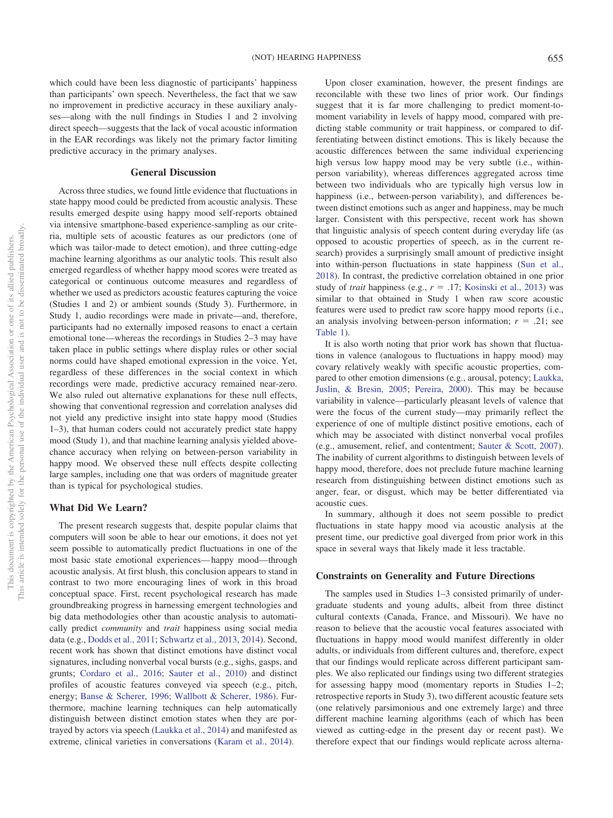which could have been less diagnostic of participants' happiness than participants' own speech. Nevertheless, the fact that we saw no improvement in predictive accuracy in these auxiliary analyses—along with the null findings in Studies 1 and 2 involving direct speech—suggests that the lack of vocal acoustic information in the EAR recordings was likely not the primary factor limiting predictive accuracy in the primary analyses.

## **General Discussion**

Across three studies, we found little evidence that fluctuations in state happy mood could be predicted from acoustic analysis. These results emerged despite using happy mood self-reports obtained via intensive smartphone-based experience-sampling as our criteria, multiple sets of acoustic features as our predictors (one of which was tailor-made to detect emotion), and three cutting-edge machine learning algorithms as our analytic tools. This result also emerged regardless of whether happy mood scores were treated as categorical or continuous outcome measures and regardless of whether we used as predictors acoustic features capturing the voice (Studies 1 and 2) or ambient sounds (Study 3). Furthermore, in Study 1, audio recordings were made in private—and, therefore, participants had no externally imposed reasons to enact a certain emotional tone—whereas the recordings in Studies 2–3 may have taken place in public settings where display rules or other social norms could have shaped emotional expression in the voice. Yet, regardless of these differences in the social context in which recordings were made, predictive accuracy remained near-zero. We also ruled out alternative explanations for these null effects, showing that conventional regression and correlation analyses did not yield any predictive insight into state happy mood (Studies 1–3), that human coders could not accurately predict state happy mood (Study 1), and that machine learning analysis yielded abovechance accuracy when relying on between-person variability in happy mood. We observed these null effects despite collecting large samples, including one that was orders of magnitude greater than is typical for psychological studies.

#### **What Did We Learn?**

The present research suggests that, despite popular claims that computers will soon be able to hear our emotions, it does not yet seem possible to automatically predict fluctuations in one of the most basic state emotional experiences— happy mood—through acoustic analysis. At first blush, this conclusion appears to stand in contrast to two more encouraging lines of work in this broad conceptual space. First, recent psychological research has made groundbreaking progress in harnessing emergent technologies and big data methodologies other than acoustic analysis to automatically predict *community* and *trait* happiness using social media data (e.g., [Dodds et al., 2011;](#page-14-4) [Schwartz et al., 2013,](#page-15-10) [2014\)](#page-15-12). Second, recent work has shown that distinct emotions have distinct vocal signatures, including nonverbal vocal bursts (e.g., sighs, gasps, and grunts; [Cordaro et al., 2016;](#page-14-5) [Sauter et al., 2010\)](#page-15-14) and distinct profiles of acoustic features conveyed via speech (e.g., pitch, energy; [Banse & Scherer, 1996;](#page-14-6) [Wallbott & Scherer, 1986\)](#page-16-2). Furthermore, machine learning techniques can help automatically distinguish between distinct emotion states when they are portrayed by actors via speech [\(Laukka et al., 2014\)](#page-15-15) and manifested as extreme, clinical varieties in conversations [\(Karam et al., 2014\)](#page-15-16).

Upon closer examination, however, the present findings are reconcilable with these two lines of prior work. Our findings suggest that it is far more challenging to predict moment-tomoment variability in levels of happy mood, compared with predicting stable community or trait happiness, or compared to differentiating between distinct emotions. This is likely because the acoustic differences between the same individual experiencing high versus low happy mood may be very subtle (i.e., withinperson variability), whereas differences aggregated across time between two individuals who are typically high versus low in happiness (i.e., between-person variability), and differences between distinct emotions such as anger and happiness, may be much larger. Consistent with this perspective, recent work has shown that linguistic analysis of speech content during everyday life (as opposed to acoustic properties of speech, as in the current research) provides a surprisingly small amount of predictive insight into within-person fluctuations in state happiness [\(Sun et al.,](#page-15-26) [2018\)](#page-15-26). In contrast, the predictive correlation obtained in one prior study of *trait* happiness (e.g.,  $r = .17$ ; [Kosinski et al., 2013\)](#page-15-11) was similar to that obtained in Study 1 when raw score acoustic features were used to predict raw score happy mood reports (i.e., an analysis involving between-person information;  $r = .21$ ; see [Table 1\)](#page-4-0).

It is also worth noting that prior work has shown that fluctuations in valence (analogous to fluctuations in happy mood) may covary relatively weakly with specific acoustic properties, compared to other emotion dimensions (e.g., arousal, potency; [Laukka,](#page-15-29) [Juslin, & Bresin, 2005;](#page-15-29) [Pereira, 2000\)](#page-15-30). This may be because variability in valence—particularly pleasant levels of valence that were the focus of the current study—may primarily reflect the experience of one of multiple distinct positive emotions, each of which may be associated with distinct nonverbal vocal profiles (e.g., amusement, relief, and contentment; [Sauter & Scott, 2007\)](#page-15-31). The inability of current algorithms to distinguish between levels of happy mood, therefore, does not preclude future machine learning research from distinguishing between distinct emotions such as anger, fear, or disgust, which may be better differentiated via acoustic cues.

In summary, although it does not seem possible to predict fluctuations in state happy mood via acoustic analysis at the present time, our predictive goal diverged from prior work in this space in several ways that likely made it less tractable.

#### **Constraints on Generality and Future Directions**

The samples used in Studies 1–3 consisted primarily of undergraduate students and young adults, albeit from three distinct cultural contexts (Canada, France, and Missouri). We have no reason to believe that the acoustic vocal features associated with fluctuations in happy mood would manifest differently in older adults, or individuals from different cultures and, therefore, expect that our findings would replicate across different participant samples. We also replicated our findings using two different strategies for assessing happy mood (momentary reports in Studies 1–2; retrospective reports in Study 3), two different acoustic feature sets (one relatively parsimonious and one extremely large) and three different machine learning algorithms (each of which has been viewed as cutting-edge in the present day or recent past). We therefore expect that our findings would replicate across alterna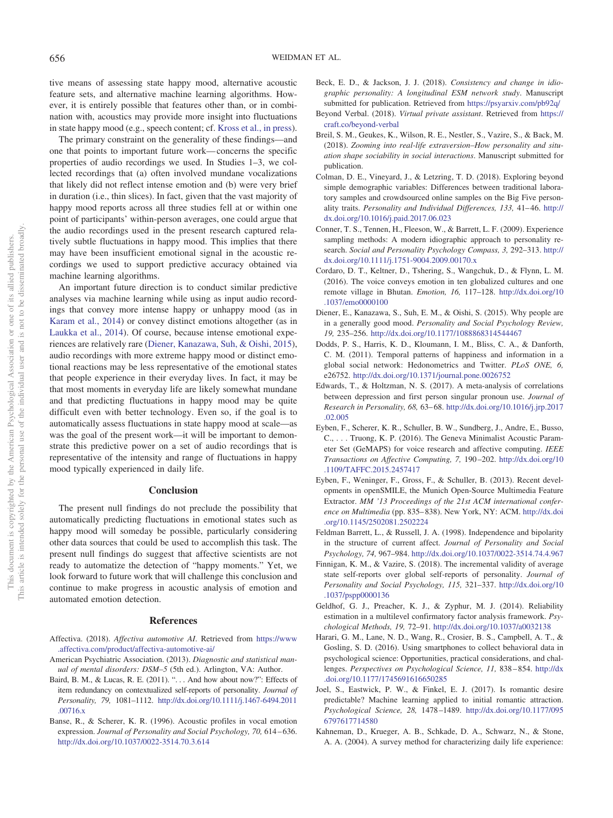tive means of assessing state happy mood, alternative acoustic feature sets, and alternative machine learning algorithms. However, it is entirely possible that features other than, or in combination with, acoustics may provide more insight into fluctuations in state happy mood (e.g., speech content; cf. [Kross et al., in press\)](#page-15-32).

The primary constraint on the generality of these findings—and one that points to important future work— concerns the specific properties of audio recordings we used. In Studies 1–3, we collected recordings that (a) often involved mundane vocalizations that likely did not reflect intense emotion and (b) were very brief in duration (i.e., thin slices). In fact, given that the vast majority of happy mood reports across all three studies fell at or within one point of participants' within-person averages, one could argue that the audio recordings used in the present research captured relatively subtle fluctuations in happy mood. This implies that there may have been insufficient emotional signal in the acoustic recordings we used to support predictive accuracy obtained via machine learning algorithms.

An important future direction is to conduct similar predictive analyses via machine learning while using as input audio recordings that convey more intense happy or unhappy mood (as in [Karam et al., 2014\)](#page-15-16) or convey distinct emotions altogether (as in [Laukka et al., 2014\)](#page-15-15). Of course, because intense emotional experiences are relatively rare [\(Diener, Kanazawa, Suh, & Oishi, 2015\)](#page-14-16), audio recordings with more extreme happy mood or distinct emotional reactions may be less representative of the emotional states that people experience in their everyday lives. In fact, it may be that most moments in everyday life are likely somewhat mundane and that predicting fluctuations in happy mood may be quite difficult even with better technology. Even so, if the goal is to automatically assess fluctuations in state happy mood at scale—as was the goal of the present work—it will be important to demonstrate this predictive power on a set of audio recordings that is representative of the intensity and range of fluctuations in happy mood typically experienced in daily life.

#### **Conclusion**

The present null findings do not preclude the possibility that automatically predicting fluctuations in emotional states such as happy mood will someday be possible, particularly considering other data sources that could be used to accomplish this task. The present null findings do suggest that affective scientists are not ready to automatize the detection of "happy moments." Yet, we look forward to future work that will challenge this conclusion and continue to make progress in acoustic analysis of emotion and automated emotion detection.

#### **References**

- <span id="page-14-0"></span>Affectiva. (2018). *Affectiva automotive AI*. Retrieved from [https://www](https://www.affectiva.com/product/affectiva-automotive-ai/) [.affectiva.com/product/affectiva-automotive-ai/](https://www.affectiva.com/product/affectiva-automotive-ai/)
- <span id="page-14-7"></span>American Psychiatric Association. (2013). *Diagnostic and statistical manual of mental disorders: DSM–5* (5th ed.). Arlington, VA: Author.
- <span id="page-14-3"></span>Baird, B. M., & Lucas, R. E. (2011). ". . . And how about now?": Effects of item redundancy on contextualized self-reports of personality. *Journal of Personality, 79,* 1081–1112. [http://dx.doi.org/10.1111/j.1467-6494.2011](http://dx.doi.org/10.1111/j.1467-6494.2011.00716.x) [.00716.x](http://dx.doi.org/10.1111/j.1467-6494.2011.00716.x)
- <span id="page-14-6"></span>Banse, R., & Scherer, K. R. (1996). Acoustic profiles in vocal emotion expression. *Journal of Personality and Social Psychology, 70, 614-636*. <http://dx.doi.org/10.1037/0022-3514.70.3.614>
- Beck, E. D., & Jackson, J. J. (2018). *Consistency and change in idiographic personality: A longitudinal ESM network study*. Manuscript submitted for publication. Retrieved from <https://psyarxiv.com/pb92q/>
- <span id="page-14-1"></span>Beyond Verbal. (2018). *Virtual private assistant*. Retrieved from [https://](https://craft.co/beyond-verbal) [craft.co/beyond-verbal](https://craft.co/beyond-verbal)
- Breil, S. M., Geukes, K., Wilson, R. E., Nestler, S., Vazire, S., & Back, M. (2018). *Zooming into real-life extraversion–How personality and situation shape sociability in social interactions*. Manuscript submitted for publication.
- Colman, D. E., Vineyard, J., & Letzring, T. D. (2018). Exploring beyond simple demographic variables: Differences between traditional laboratory samples and crowdsourced online samples on the Big Five personality traits. *Personality and Individual Differences, 133, 41-46. [http://](http://dx.doi.org/10.1016/j.paid.2017.06.023)* [dx.doi.org/10.1016/j.paid.2017.06.023](http://dx.doi.org/10.1016/j.paid.2017.06.023)
- <span id="page-14-8"></span>Conner, T. S., Tennen, H., Fleeson, W., & Barrett, L. F. (2009). Experience sampling methods: A modern idiographic approach to personality research. *Social and Personality Psychology Compass, 3,* 292–313. [http://](http://dx.doi.org/10.1111/j.1751-9004.2009.00170.x) [dx.doi.org/10.1111/j.1751-9004.2009.00170.x](http://dx.doi.org/10.1111/j.1751-9004.2009.00170.x)
- <span id="page-14-5"></span>Cordaro, D. T., Keltner, D., Tshering, S., Wangchuk, D., & Flynn, L. M. (2016). The voice conveys emotion in ten globalized cultures and one remote village in Bhutan. *Emotion, 16,* 117–128. [http://dx.doi.org/10](http://dx.doi.org/10.1037/emo0000100) [.1037/emo0000100](http://dx.doi.org/10.1037/emo0000100)
- <span id="page-14-16"></span>Diener, E., Kanazawa, S., Suh, E. M., & Oishi, S. (2015). Why people are in a generally good mood. *Personality and Social Psychology Review, 19,* 235–256. <http://dx.doi.org/10.1177/1088868314544467>
- <span id="page-14-4"></span>Dodds, P. S., Harris, K. D., Kloumann, I. M., Bliss, C. A., & Danforth, C. M. (2011). Temporal patterns of happiness and information in a global social network: Hedonometrics and Twitter. *PLoS ONE, 6,* e26752. <http://dx.doi.org/10.1371/journal.pone.0026752>
- <span id="page-14-15"></span>Edwards, T., & Holtzman, N. S. (2017). A meta-analysis of correlations between depression and first person singular pronoun use. *Journal of Research in Personality, 68,* 63– 68. [http://dx.doi.org/10.1016/j.jrp.2017](http://dx.doi.org/10.1016/j.jrp.2017.02.005) [.02.005](http://dx.doi.org/10.1016/j.jrp.2017.02.005)
- <span id="page-14-9"></span>Eyben, F., Scherer, K. R., Schuller, B. W., Sundberg, J., Andre, E., Busso, C., . . . Truong, K. P. (2016). The Geneva Minimalist Acoustic Parameter Set (GeMAPS) for voice research and affective computing. *IEEE Transactions on Affective Computing, 7,* 190 –202. [http://dx.doi.org/10](http://dx.doi.org/10.1109/TAFFC.2015.2457417) [.1109/TAFFC.2015.2457417](http://dx.doi.org/10.1109/TAFFC.2015.2457417)
- <span id="page-14-13"></span>Eyben, F., Weninger, F., Gross, F., & Schuller, B. (2013). Recent developments in openSMILE, the Munich Open-Source Multimedia Feature Extractor. *MM '13 Proceedings of the 21st ACM international conference on Multimedia* (pp. 835– 838). New York, NY: ACM. [http://dx.doi](http://dx.doi.org/10.1145/2502081.2502224) [.org/10.1145/2502081.2502224](http://dx.doi.org/10.1145/2502081.2502224)
- <span id="page-14-11"></span>Feldman Barrett, L., & Russell, J. A. (1998). Independence and bipolarity in the structure of current affect. *Journal of Personality and Social Psychology, 74,* 967–984. <http://dx.doi.org/10.1037/0022-3514.74.4.967>
- Finnigan, K. M., & Vazire, S. (2018). The incremental validity of average state self-reports over global self-reports of personality. *Journal of Personality and Social Psychology, 115,* 321–337. [http://dx.doi.org/10](http://dx.doi.org/10.1037/pspp0000136) [.1037/pspp0000136](http://dx.doi.org/10.1037/pspp0000136)
- <span id="page-14-12"></span>Geldhof, G. J., Preacher, K. J., & Zyphur, M. J. (2014). Reliability estimation in a multilevel confirmatory factor analysis framework. *Psychological Methods, 19,* 72–91. <http://dx.doi.org/10.1037/a0032138>
- <span id="page-14-2"></span>Harari, G. M., Lane, N. D., Wang, R., Crosier, B. S., Campbell, A. T., & Gosling, S. D. (2016). Using smartphones to collect behavioral data in psychological science: Opportunities, practical considerations, and challenges. *Perspectives on Psychological Science, 11,* 838 – 854. [http://dx](http://dx.doi.org/10.1177/1745691616650285) [.doi.org/10.1177/1745691616650285](http://dx.doi.org/10.1177/1745691616650285)
- <span id="page-14-10"></span>Joel, S., Eastwick, P. W., & Finkel, E. J. (2017). Is romantic desire predictable? Machine learning applied to initial romantic attraction. *Psychological Science, 28,* 1478 –1489. [http://dx.doi.org/10.1177/095](http://dx.doi.org/10.1177/0956797617714580) [6797617714580](http://dx.doi.org/10.1177/0956797617714580)
- <span id="page-14-14"></span>Kahneman, D., Krueger, A. B., Schkade, D. A., Schwarz, N., & Stone, A. A. (2004). A survey method for characterizing daily life experience: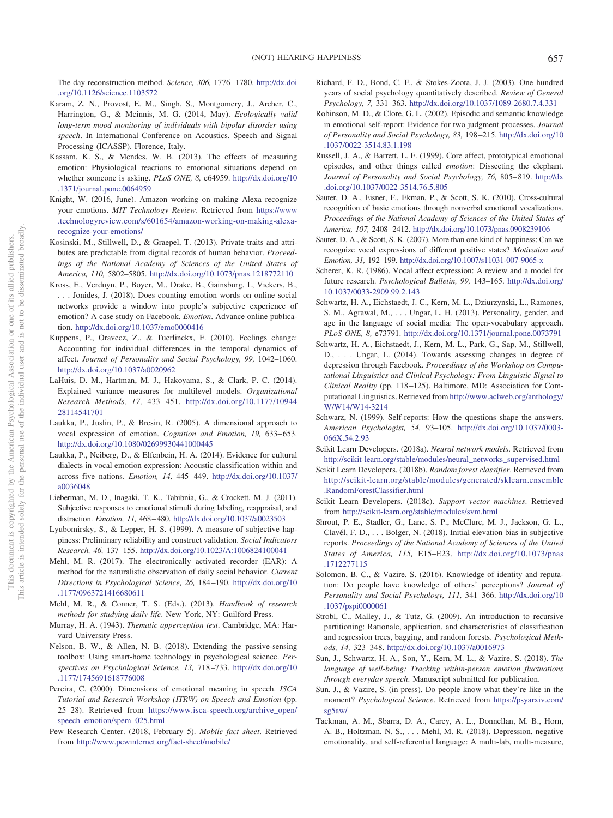The day reconstruction method. *Science, 306,* 1776 –1780. [http://dx.doi](http://dx.doi.org/10.1126/science.1103572) [.org/10.1126/science.1103572](http://dx.doi.org/10.1126/science.1103572)

- <span id="page-15-16"></span>Karam, Z. N., Provost, E. M., Singh, S., Montgomery, J., Archer, C., Harrington, G., & Mcinnis, M. G. (2014, May). *Ecologically valid long-term mood monitoring of individuals with bipolar disorder using speech*. In International Conference on Acoustics, Speech and Signal Processing (ICASSP). Florence, Italy.
- <span id="page-15-3"></span>Kassam, K. S., & Mendes, W. B. (2013). The effects of measuring emotion: Physiological reactions to emotional situations depend on whether someone is asking. *PLoS ONE, 8,* e64959. [http://dx.doi.org/10](http://dx.doi.org/10.1371/journal.pone.0064959) [.1371/journal.pone.0064959](http://dx.doi.org/10.1371/journal.pone.0064959)
- <span id="page-15-0"></span>Knight, W. (2016, June). Amazon working on making Alexa recognize your emotions. *MIT Technology Review*. Retrieved from [https://www](https://www.technologyreview.com/s/601654/amazon-working-on-making-alexa-recognize-your-emotions/) [.technologyreview.com/s/601654/amazon-working-on-making-alexa](https://www.technologyreview.com/s/601654/amazon-working-on-making-alexa-recognize-your-emotions/)[recognize-your-emotions/](https://www.technologyreview.com/s/601654/amazon-working-on-making-alexa-recognize-your-emotions/)
- <span id="page-15-11"></span>Kosinski, M., Stillwell, D., & Graepel, T. (2013). Private traits and attributes are predictable from digital records of human behavior. *Proceedings of the National Academy of Sciences of the United States of America, 110,* 5802–5805. <http://dx.doi.org/10.1073/pnas.1218772110>
- <span id="page-15-32"></span>Kross, E., Verduyn, P., Boyer, M., Drake, B., Gainsburg, I., Vickers, B., . . . Jonides, J. (2018). Does counting emotion words on online social networks provide a window into people's subjective experience of emotion? A case study on Facebook. *Emotion*. Advance online publication. <http://dx.doi.org/10.1037/emo0000416>
- <span id="page-15-7"></span>Kuppens, P., Oravecz, Z., & Tuerlinckx, F. (2010). Feelings change: Accounting for individual differences in the temporal dynamics of affect. *Journal of Personality and Social Psychology, 99,* 1042–1060. <http://dx.doi.org/10.1037/a0020962>
- <span id="page-15-24"></span>LaHuis, D. M., Hartman, M. J., Hakoyama, S., & Clark, P. C. (2014). Explained variance measures for multilevel models. *Organizational Research Methods, 17,* 433– 451. [http://dx.doi.org/10.1177/10944](http://dx.doi.org/10.1177/1094428114541701) [28114541701](http://dx.doi.org/10.1177/1094428114541701)
- <span id="page-15-29"></span>Laukka, P., Juslin, P., & Bresin, R. (2005). A dimensional approach to vocal expression of emotion. *Cognition and Emotion*, 19, 633–653. <http://dx.doi.org/10.1080/02699930441000445>
- <span id="page-15-15"></span>Laukka, P., Neiberg, D., & Elfenbein, H. A. (2014). Evidence for cultural dialects in vocal emotion expression: Acoustic classification within and across five nations. *Emotion, 14,* 445– 449. [http://dx.doi.org/10.1037/](http://dx.doi.org/10.1037/a0036048) [a0036048](http://dx.doi.org/10.1037/a0036048)
- <span id="page-15-4"></span>Lieberman, M. D., Inagaki, T. K., Tabibnia, G., & Crockett, M. J. (2011). Subjective responses to emotional stimuli during labeling, reappraisal, and distraction. *Emotion, 11,* 468 – 480. <http://dx.doi.org/10.1037/a0023503>
- <span id="page-15-18"></span>Lyubomirsky, S., & Lepper, H. S. (1999). A measure of subjective happiness: Preliminary reliability and construct validation. *Social Indicators Research, 46,* 137–155. <http://dx.doi.org/10.1023/A:1006824100041>
- <span id="page-15-27"></span>Mehl, M. R. (2017). The electronically activated recorder (EAR): A method for the naturalistic observation of daily social behavior. *Current Directions in Psychological Science, 26,* 184 –190. [http://dx.doi.org/10](http://dx.doi.org/10.1177/0963721416680611) [.1177/0963721416680611](http://dx.doi.org/10.1177/0963721416680611)
- <span id="page-15-1"></span>Mehl, M. R., & Conner, T. S. (Eds.). (2013). *Handbook of research methods for studying daily life*. New York, NY: Guilford Press.
- <span id="page-15-19"></span>Murray, H. A. (1943). *Thematic apperception test*. Cambridge, MA: Harvard University Press.
- <span id="page-15-2"></span>Nelson, B. W., & Allen, N. B. (2018). Extending the passive-sensing toolbox: Using smart-home technology in psychological science. *Perspectives on Psychological Science, 13,* 718 –733. [http://dx.doi.org/10](http://dx.doi.org/10.1177/1745691618776008) [.1177/1745691618776008](http://dx.doi.org/10.1177/1745691618776008)
- <span id="page-15-30"></span>Pereira, C. (2000). Dimensions of emotional meaning in speech. *ISCA Tutorial and Research Workshop (ITRW) on Speech and Emotion* (pp. 25–28). Retrieved from [https://www.isca-speech.org/archive\\_open/](https://www.isca-speech.org/archive_open/speech_emotion/spem_025.html) [speech\\_emotion/spem\\_025.html](https://www.isca-speech.org/archive_open/speech_emotion/spem_025.html)
- <span id="page-15-8"></span>Pew Research Center. (2018, February 5). *Mobile fact sheet*. Retrieved from <http://www.pewinternet.org/fact-sheet/mobile/>
- <span id="page-15-23"></span>Richard, F. D., Bond, C. F., & Stokes-Zoota, J. J. (2003). One hundred years of social psychology quantitatively described. *Review of General Psychology, 7,* 331–363. <http://dx.doi.org/10.1037/1089-2680.7.4.331>
- <span id="page-15-28"></span>Robinson, M. D., & Clore, G. L. (2002). Episodic and semantic knowledge in emotional self-report: Evidence for two judgment processes. *Journal of Personality and Social Psychology, 83,* 198 –215. [http://dx.doi.org/10](http://dx.doi.org/10.1037/0022-3514.83.1.198) [.1037/0022-3514.83.1.198](http://dx.doi.org/10.1037/0022-3514.83.1.198)
- <span id="page-15-9"></span>Russell, J. A., & Barrett, L. F. (1999). Core affect, prototypical emotional episodes, and other things called *emotion*: Dissecting the elephant. *Journal of Personality and Social Psychology, 76,* 805– 819. [http://dx](http://dx.doi.org/10.1037/0022-3514.76.5.805) [.doi.org/10.1037/0022-3514.76.5.805](http://dx.doi.org/10.1037/0022-3514.76.5.805)
- <span id="page-15-14"></span>Sauter, D. A., Eisner, F., Ekman, P., & Scott, S. K. (2010). Cross-cultural recognition of basic emotions through nonverbal emotional vocalizations. *Proceedings of the National Academy of Sciences of the United States of America, 107,* 2408 –2412. <http://dx.doi.org/10.1073/pnas.0908239106>
- <span id="page-15-31"></span>Sauter, D. A., & Scott, S. K. (2007). More than one kind of happiness: Can we recognize vocal expressions of different positive states? *Motivation and Emotion, 31,* 192–199. <http://dx.doi.org/10.1007/s11031-007-9065-x>
- <span id="page-15-13"></span>Scherer, K. R. (1986). Vocal affect expression: A review and a model for future research. *Psychological Bulletin, 99,* 143–165. [http://dx.doi.org/](http://dx.doi.org/10.1037/0033-2909.99.2.143) [10.1037/0033-2909.99.2.143](http://dx.doi.org/10.1037/0033-2909.99.2.143)
- <span id="page-15-10"></span>Schwartz, H. A., Eichstaedt, J. C., Kern, M. L., Dziurzynski, L., Ramones, S. M., Agrawal, M.,... Ungar, L. H. (2013). Personality, gender, and age in the language of social media: The open-vocabulary approach. *PLoS ONE, 8,* e73791. <http://dx.doi.org/10.1371/journal.pone.0073791>
- <span id="page-15-12"></span>Schwartz, H. A., Eichstaedt, J., Kern, M. L., Park, G., Sap, M., Stillwell, D., . . . Ungar, L. (2014). Towards assessing changes in degree of depression through Facebook. *Proceedings of the Workshop on Computational Linguistics and Clinical Psychology: From Linguistic Signal to Clinical Reality* (pp. 118 –125). Baltimore, MD: Association for Computational Linguistics. Retrieved from [http://www.aclweb.org/anthology/](http://www.aclweb.org/anthology/W/W14/W14-3214) [W/W14/W14-3214](http://www.aclweb.org/anthology/W/W14/W14-3214)
- <span id="page-15-5"></span>Schwarz, N. (1999). Self-reports: How the questions shape the answers. *American Psychologist, 54,* 93–105. [http://dx.doi.org/10.1037/0003-](http://dx.doi.org/10.1037/0003-066X.54.2.93) [066X.54.2.93](http://dx.doi.org/10.1037/0003-066X.54.2.93)
- <span id="page-15-20"></span>Scikit Learn Developers. (2018a). *Neural network models*. Retrieved from [http://scikit-learn.org/stable/modules/neural\\_networks\\_supervised.html](http://scikit-learn.org/stable/modules/neural_networks_supervised.html)
- <span id="page-15-21"></span>Scikit Learn Developers. (2018b). *Random forest classifier*. Retrieved from [http://scikit-learn.org/stable/modules/generated/sklearn.ensemble](http://scikit-learn.org/stable/modules/generated/sklearn.ensemble.RandomForestClassifier.html) [.RandomForestClassifier.html](http://scikit-learn.org/stable/modules/generated/sklearn.ensemble.RandomForestClassifier.html)
- <span id="page-15-22"></span>Scikit Learn Developers. (2018c). *Support vector machines*. Retrieved from <http://scikit-learn.org/stable/modules/svm.html>
- <span id="page-15-6"></span>Shrout, P. E., Stadler, G., Lane, S. P., McClure, M. J., Jackson, G. L., Clavél, F. D.,... Bolger, N. (2018). Initial elevation bias in subjective reports. *Proceedings of the National Academy of Sciences of the United States of America, 115,* E15–E23. [http://dx.doi.org/10.1073/pnas](http://dx.doi.org/10.1073/pnas.1712277115) [.1712277115](http://dx.doi.org/10.1073/pnas.1712277115)
- Solomon, B. C., & Vazire, S. (2016). Knowledge of identity and reputation: Do people have knowledge of others' perceptions? *Journal of Personality and Social Psychology, 111,* 341–366. [http://dx.doi.org/10](http://dx.doi.org/10.1037/pspi0000061) [.1037/pspi0000061](http://dx.doi.org/10.1037/pspi0000061)
- <span id="page-15-17"></span>Strobl, C., Malley, J., & Tutz, G. (2009). An introduction to recursive partitioning: Rationale, application, and characteristics of classification and regression trees, bagging, and random forests. *Psychological Methods, 14,* 323–348. <http://dx.doi.org/10.1037/a0016973>
- <span id="page-15-26"></span>Sun, J., Schwartz, H. A., Son, Y., Kern, M. L., & Vazire, S. (2018). *The language of well-being: Tracking within-person emotion fluctuations through everyday speech*. Manuscript submitted for publication.
- Sun, J., & Vazire, S. (in press). Do people know what they're like in the moment? *Psychological Science*. Retrieved from [https://psyarxiv.com/](https://psyarxiv.com/sg5aw/) [sg5aw/](https://psyarxiv.com/sg5aw/)
- <span id="page-15-25"></span>Tackman, A. M., Sbarra, D. A., Carey, A. L., Donnellan, M. B., Horn, A. B., Holtzman, N. S.,... Mehl, M. R. (2018). Depression, negative emotionality, and self-referential language: A multi-lab, multi-measure,